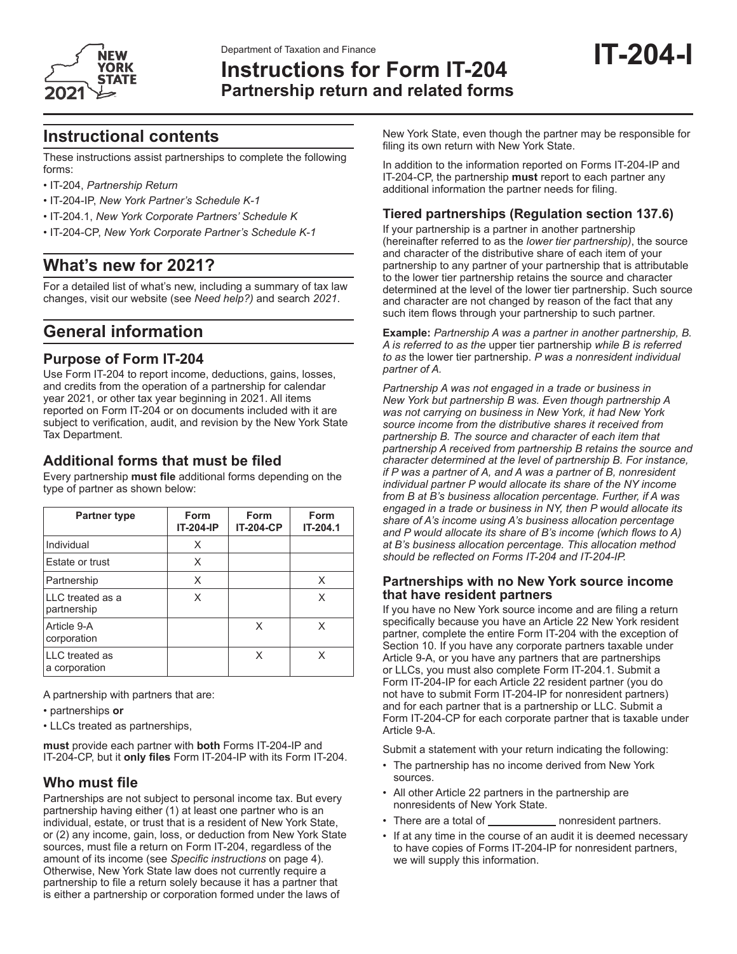

Department of Taxation and Finance<br>**Instructions for Form IT<sub>-</sub>204 IT-204-I Instructions for Form IT-204 Partnership return and related forms**

# **Instructional contents**

These instructions assist partnerships to complete the following forms:

- IT-204, *Partnership Return*
- IT-204-IP, *New York Partner's Schedule K-1*
- IT-204.1, *New York Corporate Partners' Schedule K*
- IT-204-CP, *New York Corporate Partner's Schedule K-1*

# **What's new for 2021?**

For a detailed list of what's new, including a summary of tax law changes, visit our website (see *Need help?)* and search *2021*.

# **General information**

# **Purpose of Form IT-204**

Use Form IT-204 to report income, deductions, gains, losses, and credits from the operation of a partnership for calendar year 2021, or other tax year beginning in 2021. All items reported on Form IT-204 or on documents included with it are subject to verification, audit, and revision by the New York State Tax Department.

# **Additional forms that must be filed**

Every partnership **must file** additional forms depending on the type of partner as shown below:

| Partner type                    | Form<br><b>IT-204-IP</b> | Form<br><b>IT-204-CP</b> | Form<br>IT-204.1 |
|---------------------------------|--------------------------|--------------------------|------------------|
| Individual                      | X                        |                          |                  |
| Estate or trust                 | X                        |                          |                  |
| Partnership                     | X                        |                          | X                |
| LLC treated as a<br>partnership | X                        |                          | X                |
| Article 9-A<br>corporation      |                          | X                        | x                |
| LLC treated as<br>a corporation |                          | X                        | X                |

A partnership with partners that are:

• partnerships **or**

• LLCs treated as partnerships,

**must** provide each partner with **both** Forms IT-204-IP and IT-204-CP, but it **only files** Form IT-204-IP with its Form IT-204.

# **Who must file**

Partnerships are not subject to personal income tax. But every partnership having either (1) at least one partner who is an individual, estate, or trust that is a resident of New York State, or (2) any income, gain, loss, or deduction from New York State sources, must file a return on Form IT-204, regardless of the amount of its income (see *Specific instructions* on page 4). Otherwise, New York State law does not currently require a partnership to file a return solely because it has a partner that is either a partnership or corporation formed under the laws of

New York State, even though the partner may be responsible for filing its own return with New York State.

In addition to the information reported on Forms IT-204-IP and IT-204-CP, the partnership **must** report to each partner any additional information the partner needs for filing.

# **Tiered partnerships (Regulation section 137.6)**

If your partnership is a partner in another partnership (hereinafter referred to as the *lower tier partnership)*, the source and character of the distributive share of each item of your partnership to any partner of your partnership that is attributable to the lower tier partnership retains the source and character determined at the level of the lower tier partnership. Such source and character are not changed by reason of the fact that any such item flows through your partnership to such partner.

**Example:** *Partnership A was a partner in another partnership, B. A is referred to as the* upper tier partnership *while B is referred to as* the lower tier partnership. *P was a nonresident individual partner of A.*

*Partnership A was not engaged in a trade or business in New York but partnership B was. Even though partnership A was not carrying on business in New York, it had New York source income from the distributive shares it received from partnership B. The source and character of each item that partnership A received from partnership B retains the source and character determined at the level of partnership B. For instance, if P was a partner of A, and A was a partner of B, nonresident individual partner P would allocate its share of the NY income from B at B's business allocation percentage. Further, if A was engaged in a trade or business in NY, then P would allocate its share of A's income using A's business allocation percentage and P would allocate its share of B's income (which flows to A) at B's business allocation percentage. This allocation method should be reflected on Forms IT-204 and IT-204-IP.*

## **Partnerships with no New York source income that have resident partners**

If you have no New York source income and are filing a return specifically because you have an Article 22 New York resident partner, complete the entire Form IT-204 with the exception of Section 10. If you have any corporate partners taxable under Article 9-A, or you have any partners that are partnerships or LLCs, you must also complete Form IT-204.1. Submit a Form IT-204-IP for each Article 22 resident partner (you do not have to submit Form IT-204-IP for nonresident partners) and for each partner that is a partnership or LLC. Submit a Form IT-204-CP for each corporate partner that is taxable under Article 9-A.

Submit a statement with your return indicating the following:

- The partnership has no income derived from New York sources.
- All other Article 22 partners in the partnership are nonresidents of New York State.
- There are a total of \_\_\_\_\_\_\_\_\_\_\_\_\_ nonresident partners.
- If at any time in the course of an audit it is deemed necessary to have copies of Forms IT-204-IP for nonresident partners, we will supply this information.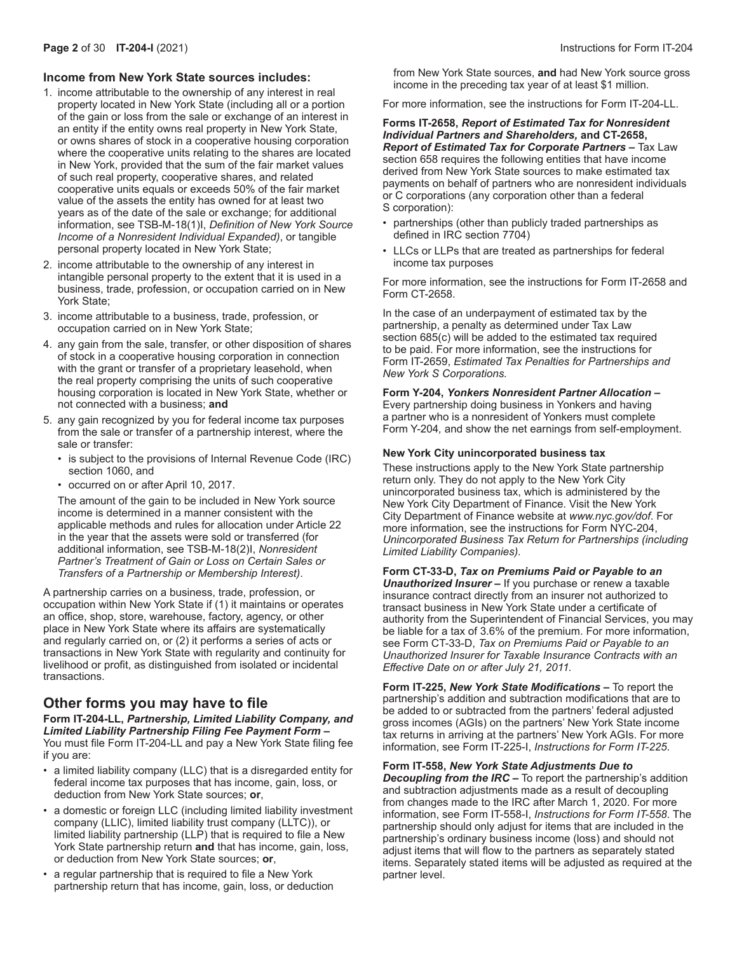#### **Income from New York State sources includes:**

- 1. income attributable to the ownership of any interest in real property located in New York State (including all or a portion of the gain or loss from the sale or exchange of an interest in an entity if the entity owns real property in New York State, or owns shares of stock in a cooperative housing corporation where the cooperative units relating to the shares are located in New York, provided that the sum of the fair market values of such real property, cooperative shares, and related cooperative units equals or exceeds 50% of the fair market value of the assets the entity has owned for at least two years as of the date of the sale or exchange; for additional information, see TSB-M-18(1)I, *Definition of New York Source Income of a Nonresident Individual Expanded)*, or tangible personal property located in New York State;
- 2. income attributable to the ownership of any interest in intangible personal property to the extent that it is used in a business, trade, profession, or occupation carried on in New York State;
- 3. income attributable to a business, trade, profession, or occupation carried on in New York State;
- 4. any gain from the sale, transfer, or other disposition of shares of stock in a cooperative housing corporation in connection with the grant or transfer of a proprietary leasehold, when the real property comprising the units of such cooperative housing corporation is located in New York State, whether or not connected with a business; **and**
- 5. any gain recognized by you for federal income tax purposes from the sale or transfer of a partnership interest, where the sale or transfer:
	- is subject to the provisions of Internal Revenue Code (IRC) section 1060, and
	- occurred on or after April 10, 2017.

The amount of the gain to be included in New York source income is determined in a manner consistent with the applicable methods and rules for allocation under Article 22 in the year that the assets were sold or transferred (for additional information, see TSB-M-18(2)I, *Nonresident Partner's Treatment of Gain or Loss on Certain Sales or Transfers of a Partnership or Membership Interest)*.

A partnership carries on a business, trade, profession, or occupation within New York State if (1) it maintains or operates an office, shop, store, warehouse, factory, agency, or other place in New York State where its affairs are systematically and regularly carried on, or (2) it performs a series of acts or transactions in New York State with regularity and continuity for livelihood or profit, as distinguished from isolated or incidental transactions.

# **Other forms you may have to file**

**Form IT-204-LL,** *Partnership, Limited Liability Company, and Limited Liability Partnership Filing Fee Payment Form* **–**  You must file Form IT-204-LL and pay a New York State filing fee if you are:

- a limited liability company (LLC) that is a disregarded entity for federal income tax purposes that has income, gain, loss, or deduction from New York State sources; **or**,
- a domestic or foreign LLC (including limited liability investment company (LLIC), limited liability trust company (LLTC)), or limited liability partnership (LLP) that is required to file a New York State partnership return **and** that has income, gain, loss, or deduction from New York State sources; **or**,
- a regular partnership that is required to file a New York partnership return that has income, gain, loss, or deduction

from New York State sources, **and** had New York source gross income in the preceding tax year of at least \$1 million.

For more information, see the instructions for Form IT-204-LL.

**Forms IT-2658,** *Report of Estimated Tax for Nonresident Individual Partners and Shareholders,* **and CT-2658,**  *Report of Estimated Tax for Corporate Partners* **–** Tax Law section 658 requires the following entities that have income derived from New York State sources to make estimated tax payments on behalf of partners who are nonresident individuals or C corporations (any corporation other than a federal S corporation):

- partnerships (other than publicly traded partnerships as defined in IRC section 7704)
- LLCs or LLPs that are treated as partnerships for federal income tax purposes

For more information, see the instructions for Form IT‑2658 and Form CT-2658.

In the case of an underpayment of estimated tax by the partnership, a penalty as determined under Tax Law section 685(c) will be added to the estimated tax required to be paid. For more information, see the instructions for Form IT-2659, *Estimated Tax Penalties for Partnerships and New York S Corporations.*

#### **Form Y-204,** *Yonkers Nonresident Partner Allocation* **–**

Every partnership doing business in Yonkers and having a partner who is a nonresident of Yonkers must complete Form Y-204*,* and show the net earnings from self-employment.

#### **New York City unincorporated business tax**

These instructions apply to the New York State partnership return only. They do not apply to the New York City unincorporated business tax, which is administered by the New York City Department of Finance. Visit the New York City Department of Finance website at *www.nyc.gov/dof*. For more information, see the instructions for Form NYC-204, *Unincorporated Business Tax Return for Partnerships (including Limited Liability Companies).*

**Form CT-33-D,** *Tax on Premiums Paid or Payable to an Unauthorized Insurer* **–** If you purchase or renew a taxable insurance contract directly from an insurer not authorized to transact business in New York State under a certificate of authority from the Superintendent of Financial Services, you may be liable for a tax of 3.6% of the premium. For more information, see Form CT-33-D, *Tax on Premiums Paid or Payable to an Unauthorized Insurer for Taxable Insurance Contracts with an Effective Date on or after July 21, 2011.*

**Form IT-225,** *New York State Modifications* **–** To report the partnership's addition and subtraction modifications that are to be added to or subtracted from the partners' federal adjusted gross incomes (AGIs) on the partners' New York State income tax returns in arriving at the partners' New York AGIs. For more information, see Form IT-225-I, *Instructions for Form IT-225*.

**Form IT-558,** *New York State Adjustments Due to* 

*Decoupling from the IRC* **–** To report the partnership's addition and subtraction adjustments made as a result of decoupling from changes made to the IRC after March 1, 2020. For more information, see Form IT-558-I, *Instructions for Form IT-558*. The partnership should only adjust for items that are included in the partnership's ordinary business income (loss) and should not adjust items that will flow to the partners as separately stated items. Separately stated items will be adjusted as required at the partner level.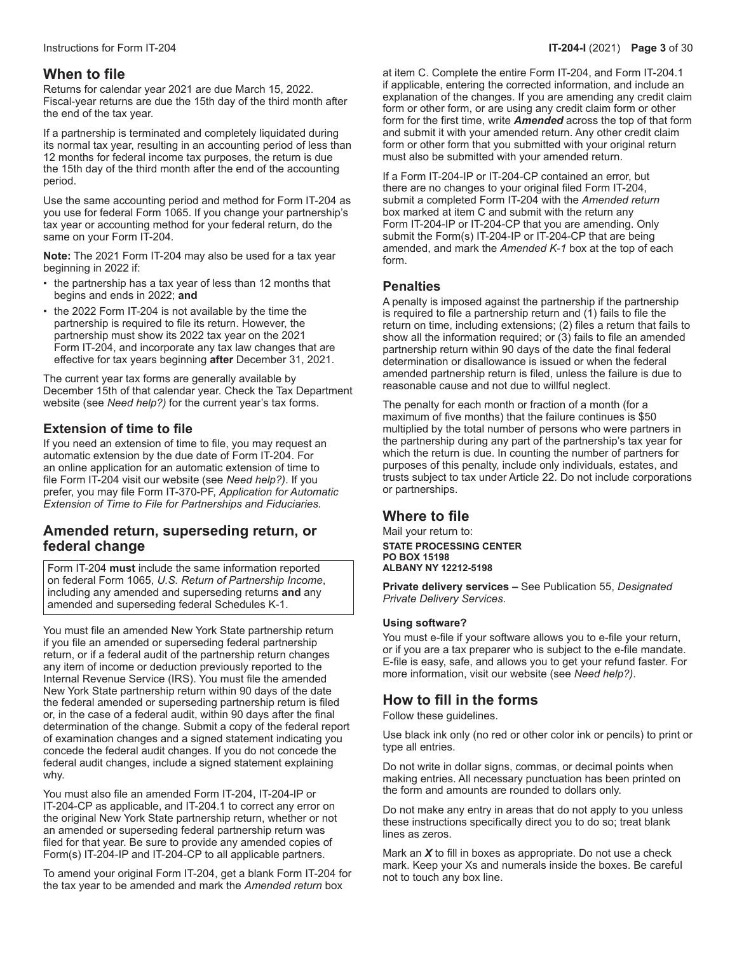# **When to file**

Returns for calendar year 2021 are due March 15, 2022. Fiscal-year returns are due the 15th day of the third month after the end of the tax year.

If a partnership is terminated and completely liquidated during its normal tax year, resulting in an accounting period of less than 12 months for federal income tax purposes, the return is due the 15th day of the third month after the end of the accounting period.

Use the same accounting period and method for Form IT-204 as you use for federal Form 1065. If you change your partnership's tax year or accounting method for your federal return, do the same on your Form IT-204*.*

**Note:** The 2021 Form IT-204 may also be used for a tax year beginning in 2022 if:

- the partnership has a tax year of less than 12 months that begins and ends in 2022; **and**
- the 2022 Form IT-204 is not available by the time the partnership is required to file its return. However, the partnership must show its 2022 tax year on the 2021 Form IT-204, and incorporate any tax law changes that are effective for tax years beginning **after** December 31, 2021.

The current year tax forms are generally available by December 15th of that calendar year. Check the Tax Department website (see *Need help?)* for the current year's tax forms.

# **Extension of time to file**

If you need an extension of time to file, you may request an automatic extension by the due date of Form IT-204. For an online application for an automatic extension of time to file Form IT-204 visit our website (see *Need help?)*. If you prefer, you may file Form IT-370-PF, *Application for Automatic Extension of Time to File for Partnerships and Fiduciaries.*

# **Amended return, superseding return, or federal change**

Form IT-204 **must** include the same information reported on federal Form 1065, *U.S. Return of Partnership Income*, including any amended and superseding returns **and** any amended and superseding federal Schedules K-1.

You must file an amended New York State partnership return if you file an amended or superseding federal partnership return, or if a federal audit of the partnership return changes any item of income or deduction previously reported to the Internal Revenue Service (IRS). You must file the amended New York State partnership return within 90 days of the date the federal amended or superseding partnership return is filed or, in the case of a federal audit, within 90 days after the final determination of the change. Submit a copy of the federal report of examination changes and a signed statement indicating you concede the federal audit changes. If you do not concede the federal audit changes, include a signed statement explaining why.

You must also file an amended Form IT-204, IT-204-IP or IT-204-CP as applicable, and IT-204.1 to correct any error on the original New York State partnership return, whether or not an amended or superseding federal partnership return was filed for that year. Be sure to provide any amended copies of Form(s) IT-204-IP and IT-204-CP to all applicable partners.

To amend your original Form IT-204, get a blank Form IT-204 for the tax year to be amended and mark the *Amended return* box

at item C. Complete the entire Form IT-204, and Form IT-204.1 if applicable, entering the corrected information, and include an explanation of the changes. If you are amending any credit claim form or other form, or are using any credit claim form or other form for the first time, write *Amended* across the top of that form and submit it with your amended return. Any other credit claim form or other form that you submitted with your original return must also be submitted with your amended return.

If a Form IT-204-IP or IT-204-CP contained an error, but there are no changes to your original filed Form IT-204, submit a completed Form IT-204 with the *Amended return* box marked at item C and submit with the return any Form IT-204-IP or IT-204-CP that you are amending. Only submit the Form(s) IT-204-IP or IT-204-CP that are being amended, and mark the *Amended K-1* box at the top of each form.

# **Penalties**

A penalty is imposed against the partnership if the partnership is required to file a partnership return and (1) fails to file the return on time, including extensions; (2) files a return that fails to show all the information required; or (3) fails to file an amended partnership return within 90 days of the date the final federal determination or disallowance is issued or when the federal amended partnership return is filed, unless the failure is due to reasonable cause and not due to willful neglect.

The penalty for each month or fraction of a month (for a maximum of five months) that the failure continues is \$50 multiplied by the total number of persons who were partners in the partnership during any part of the partnership's tax year for which the return is due. In counting the number of partners for purposes of this penalty, include only individuals, estates, and trusts subject to tax under Article 22. Do not include corporations or partnerships.

# **Where to file**

Mail your return to: **STATE PROCESSING CENTER PO BOX 15198 ALBANY NY 12212-5198**

**Private delivery services –** See Publication 55, *Designated Private Delivery Services*.

## **Using software?**

You must e-file if your software allows you to e-file your return, or if you are a tax preparer who is subject to the e-file mandate. E-file is easy, safe, and allows you to get your refund faster. For more information, visit our website (see *Need help?)*.

# **How to fill in the forms**

Follow these guidelines.

Use black ink only (no red or other color ink or pencils) to print or type all entries.

Do not write in dollar signs, commas, or decimal points when making entries. All necessary punctuation has been printed on the form and amounts are rounded to dollars only.

Do not make any entry in areas that do not apply to you unless these instructions specifically direct you to do so; treat blank lines as zeros.

Mark an *X* to fill in boxes as appropriate. Do not use a check mark. Keep your Xs and numerals inside the boxes. Be careful not to touch any box line.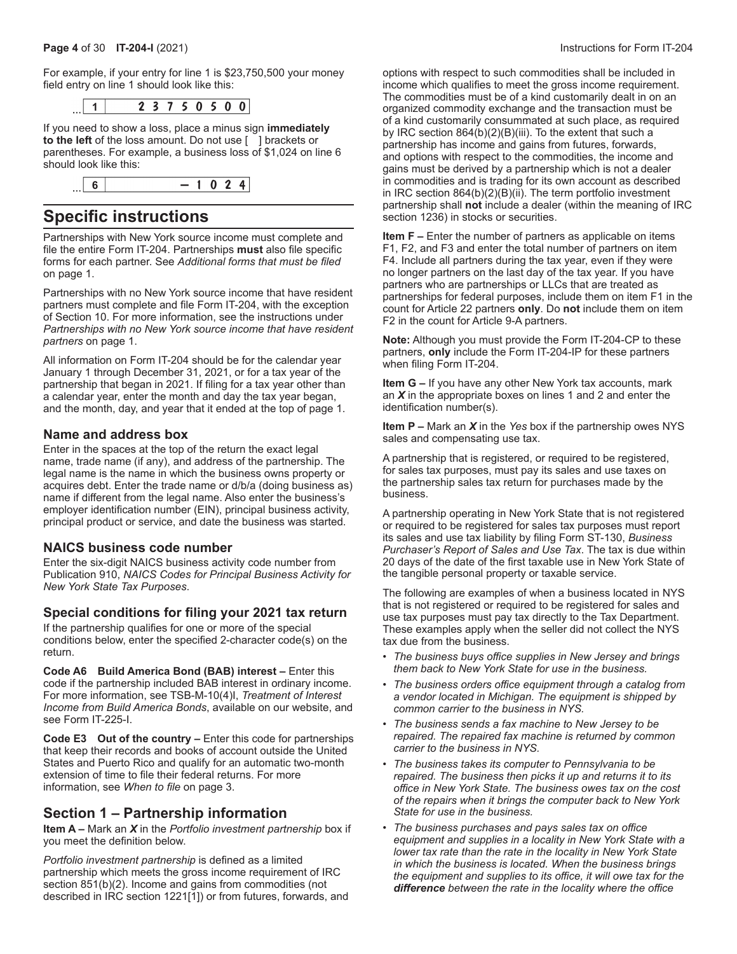For example, if your entry for line 1 is \$23,750,500 your money field entry on line 1 should look like this:



If you need to show a loss, place a minus sign **immediately to the left** of the loss amount. Do not use [ ] brackets or parentheses. For example, a business loss of \$1,024 on line 6 should look like this:



# **Specific instructions**

Partnerships with New York source income must complete and file the entire Form IT-204. Partnerships **must** also file specific forms for each partner. See *Additional forms that must be filed* on page 1.

Partnerships with no New York source income that have resident partners must complete and file Form IT-204, with the exception of Section 10. For more information, see the instructions under *Partnerships with no New York source income that have resident partners* on page 1.

All information on Form IT-204 should be for the calendar year January 1 through December 31, 2021, or for a tax year of the partnership that began in 2021. If filing for a tax year other than a calendar year, enter the month and day the tax year began, and the month, day, and year that it ended at the top of page 1.

# **Name and address box**

Enter in the spaces at the top of the return the exact legal name, trade name (if any), and address of the partnership. The legal name is the name in which the business owns property or acquires debt. Enter the trade name or d/b/a (doing business as) name if different from the legal name. Also enter the business's employer identification number (EIN), principal business activity, principal product or service, and date the business was started.

# **NAICS business code number**

Enter the six-digit NAICS business activity code number from Publication 910, *NAICS Codes for Principal Business Activity for New York State Tax Purposes*.

# **Special conditions for filing your 2021 tax return**

If the partnership qualifies for one or more of the special conditions below, enter the specified 2-character code(s) on the return.

**Code A6 Build America Bond (BAB) interest –** Enter this code if the partnership included BAB interest in ordinary income. For more information, see TSB-M-10(4)I, *Treatment of Interest Income from Build America Bonds*, available on our website, and see Form IT-225-I.

**Code E3 Out of the country –** Enter this code for partnerships that keep their records and books of account outside the United States and Puerto Rico and qualify for an automatic two-month extension of time to file their federal returns. For more information, see *When to file* on page 3.

# **Section 1 – Partnership information**

**Item A –** Mark an *X* in the *Portfolio investment partnership* box if you meet the definition below.

*Portfolio investment partnership* is defined as a limited partnership which meets the gross income requirement of IRC section 851(b)(2). Income and gains from commodities (not described in IRC section 1221[1]) or from futures, forwards, and

options with respect to such commodities shall be included in income which qualifies to meet the gross income requirement. The commodities must be of a kind customarily dealt in on an organized commodity exchange and the transaction must be of a kind customarily consummated at such place, as required by IRC section 864(b)(2)(B)(iii). To the extent that such a partnership has income and gains from futures, forwards, and options with respect to the commodities, the income and gains must be derived by a partnership which is not a dealer in commodities and is trading for its own account as described in IRC section 864(b)(2)(B)(ii). The term portfolio investment partnership shall **not** include a dealer (within the meaning of IRC section 1236) in stocks or securities.

**Item F –** Enter the number of partners as applicable on items F1, F2, and F3 and enter the total number of partners on item F4. Include all partners during the tax year, even if they were no longer partners on the last day of the tax year. If you have partners who are partnerships or LLCs that are treated as partnerships for federal purposes, include them on item F1 in the count for Article 22 partners **only**. Do **not** include them on item F2 in the count for Article 9-A partners.

**Note:** Although you must provide the Form IT-204-CP to these partners, **only** include the Form IT-204-IP for these partners when filing Form IT-204.

**Item G –** If you have any other New York tax accounts, mark an *X* in the appropriate boxes on lines 1 and 2 and enter the identification number(s).

**Item P –** Mark an *X* in the *Yes* box if the partnership owes NYS sales and compensating use tax.

A partnership that is registered, or required to be registered, for sales tax purposes, must pay its sales and use taxes on the partnership sales tax return for purchases made by the business.

A partnership operating in New York State that is not registered or required to be registered for sales tax purposes must report its sales and use tax liability by filing Form ST-130, *Business Purchaser's Report of Sales and Use Tax*. The tax is due within 20 days of the date of the first taxable use in New York State of the tangible personal property or taxable service.

The following are examples of when a business located in NYS that is not registered or required to be registered for sales and use tax purposes must pay tax directly to the Tax Department. These examples apply when the seller did not collect the NYS tax due from the business.

- *The business buys office supplies in New Jersey and brings them back to New York State for use in the business.*
- *The business orders office equipment through a catalog from a vendor located in Michigan. The equipment is shipped by common carrier to the business in NYS.*
- *The business sends a fax machine to New Jersey to be repaired. The repaired fax machine is returned by common carrier to the business in NYS.*
- *The business takes its computer to Pennsylvania to be repaired. The business then picks it up and returns it to its office in New York State. The business owes tax on the cost of the repairs when it brings the computer back to New York State for use in the business.*
- *The business purchases and pays sales tax on office equipment and supplies in a locality in New York State with a lower tax rate than the rate in the locality in New York State in which the business is located. When the business brings the equipment and supplies to its office, it will owe tax for the difference between the rate in the locality where the office*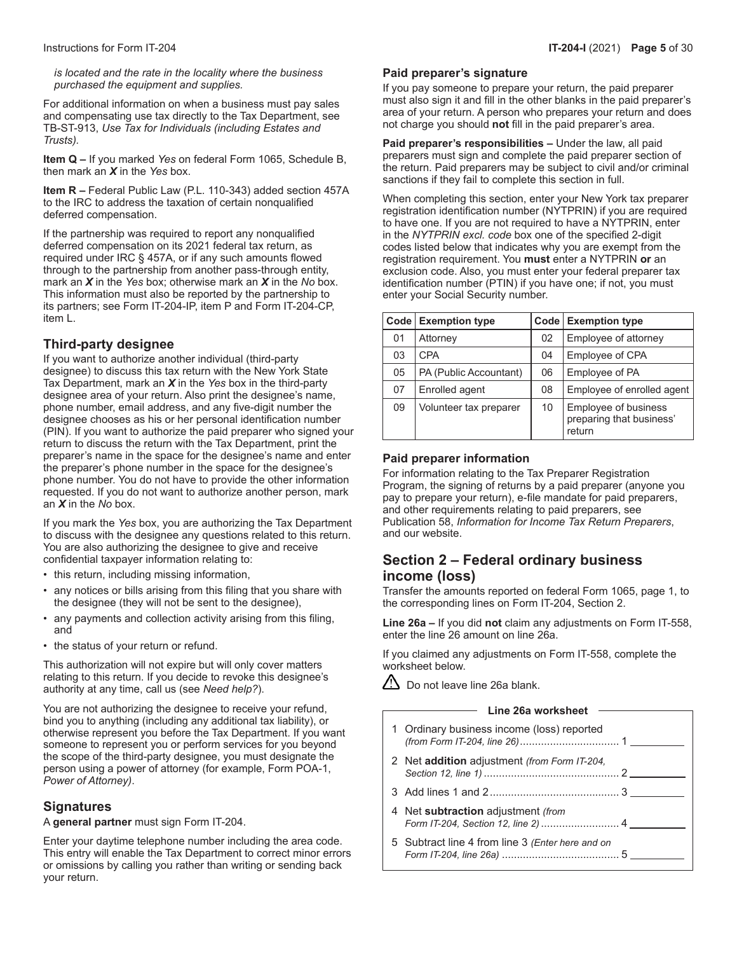*is located and the rate in the locality where the business purchased the equipment and supplies.*

For additional information on when a business must pay sales and compensating use tax directly to the Tax Department, see TB-ST-913, *Use Tax for Individuals (including Estates and Trusts).*

**Item Q –** If you marked *Yes* on federal Form 1065, Schedule B, then mark an *X* in the *Yes* box.

**Item R –** Federal Public Law (P.L. 110-343) added section 457A to the IRC to address the taxation of certain nonqualified deferred compensation.

If the partnership was required to report any nonqualified deferred compensation on its 2021 federal tax return, as required under IRC § 457A, or if any such amounts flowed through to the partnership from another pass-through entity, mark an *X* in the *Yes* box; otherwise mark an *X* in the *No* box. This information must also be reported by the partnership to its partners; see Form IT-204-IP, item P and Form IT-204-CP, item L.

## **Third-party designee**

If you want to authorize another individual (third-party designee) to discuss this tax return with the New York State Tax Department, mark an *X* in the *Yes* box in the third-party designee area of your return. Also print the designee's name, phone number, email address, and any five-digit number the designee chooses as his or her personal identification number (PIN). If you want to authorize the paid preparer who signed your return to discuss the return with the Tax Department, print the preparer's name in the space for the designee's name and enter the preparer's phone number in the space for the designee's phone number. You do not have to provide the other information requested. If you do not want to authorize another person, mark an *X* in the *No* box.

If you mark the *Yes* box, you are authorizing the Tax Department to discuss with the designee any questions related to this return. You are also authorizing the designee to give and receive confidential taxpayer information relating to:

- this return, including missing information,
- any notices or bills arising from this filing that you share with the designee (they will not be sent to the designee),
- any payments and collection activity arising from this filing, and
- the status of your return or refund.

This authorization will not expire but will only cover matters relating to this return. If you decide to revoke this designee's authority at any time, call us (see *Need help?*).

You are not authorizing the designee to receive your refund, bind you to anything (including any additional tax liability), or otherwise represent you before the Tax Department. If you want someone to represent you or perform services for you beyond the scope of the third-party designee, you must designate the person using a power of attorney (for example, Form POA-1, *Power of Attorney)*.

## **Signatures**

A **general partner** must sign Form IT-204.

Enter your daytime telephone number including the area code. This entry will enable the Tax Department to correct minor errors or omissions by calling you rather than writing or sending back your return.

#### **Paid preparer's signature**

If you pay someone to prepare your return, the paid preparer must also sign it and fill in the other blanks in the paid preparer's area of your return. A person who prepares your return and does not charge you should **not** fill in the paid preparer's area.

**Paid preparer's responsibilities –** Under the law, all paid preparers must sign and complete the paid preparer section of the return. Paid preparers may be subject to civil and/or criminal sanctions if they fail to complete this section in full.

When completing this section, enter your New York tax preparer registration identification number (NYTPRIN) if you are required to have one. If you are not required to have a NYTPRIN, enter in the *NYTPRIN excl. code* box one of the specified 2-digit codes listed below that indicates why you are exempt from the registration requirement. You **must** enter a NYTPRIN **or** an exclusion code. Also, you must enter your federal preparer tax identification number (PTIN) if you have one; if not, you must enter your Social Security number.

| Code <sub>1</sub> | <b>Exemption type</b>  | Code <sub>1</sub> | <b>Exemption type</b>                                      |
|-------------------|------------------------|-------------------|------------------------------------------------------------|
| 01                | Attorney               | 02                | Employee of attorney                                       |
| 03                | <b>CPA</b>             | 04                | Employee of CPA                                            |
| 05                | PA (Public Accountant) | 06                | Employee of PA                                             |
| 07                | Enrolled agent         | 08                | Employee of enrolled agent                                 |
| 09                | Volunteer tax preparer | 10                | Employee of business<br>preparing that business'<br>return |

#### **Paid preparer information**

For information relating to the Tax Preparer Registration Program, the signing of returns by a paid preparer (anyone you pay to prepare your return), e-file mandate for paid preparers, and other requirements relating to paid preparers, see Publication 58, *Information for Income Tax Return Preparers*, and our website.

# **Section 2 – Federal ordinary business income (loss)**

Transfer the amounts reported on federal Form 1065, page 1, to the corresponding lines on Form IT-204, Section 2.

**Line 26a –** If you did **not** claim any adjustments on Form IT-558, enter the line 26 amount on line 26a.

If you claimed any adjustments on Form IT-558, complete the worksheet below.

Do not leave line 26a blank.

1 Ordinary business income (loss) reported *(from Form IT-204, line 26)*................................. 1 2 Net **addition** adjustment *(from Form IT-204, Section 12, line 1)* ............................................. 2 3 Add lines 1 and 2........................................... 3 4 Net **subtraction** adjustment *(from Form IT-204, Section 12, line 2)*.......................... 4 5 Subtract line 4 from line 3 *(Enter here and on Form IT-204, line 26a)* ....................................... 5 **Line 26a worksheet**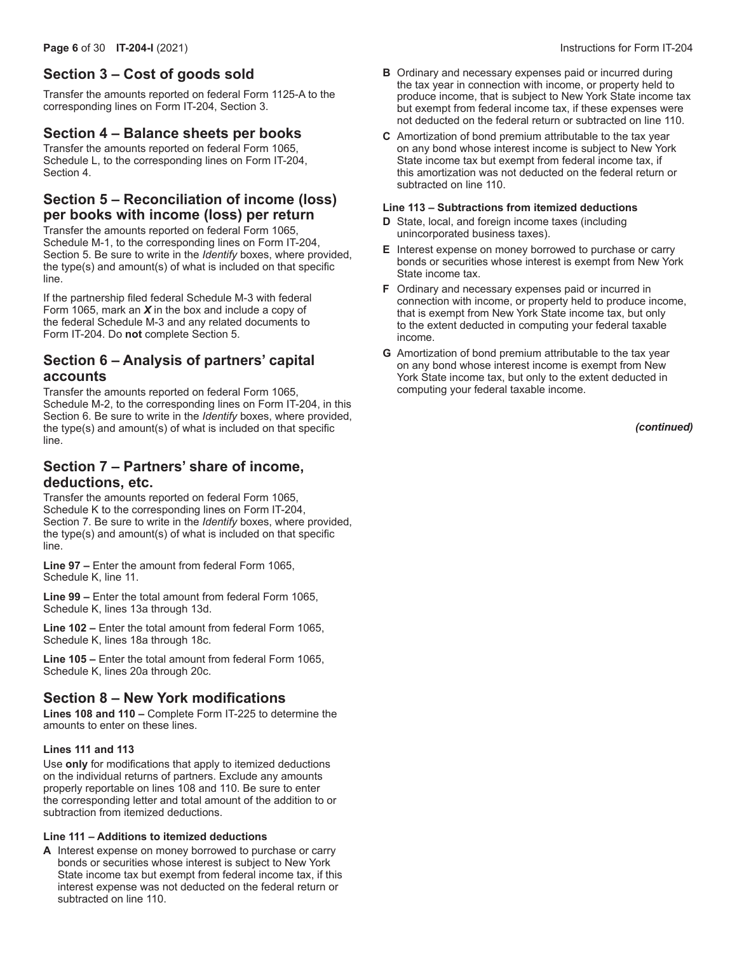Transfer the amounts reported on federal Form 1125-A to the corresponding lines on Form IT-204, Section 3.

# **Section 4 – Balance sheets per books**

Transfer the amounts reported on federal Form 1065, Schedule L, to the corresponding lines on Form IT-204, Section 4.

# **Section 5 – Reconciliation of income (loss) per books with income (loss) per return**

Transfer the amounts reported on federal Form 1065, Schedule M-1, to the corresponding lines on Form IT-204, Section 5. Be sure to write in the *Identify* boxes, where provided, the type(s) and amount(s) of what is included on that specific line.

If the partnership filed federal Schedule M-3 with federal Form 1065, mark an *X* in the box and include a copy of the federal Schedule M-3 and any related documents to Form IT-204. Do **not** complete Section 5.

# **Section 6 – Analysis of partners' capital accounts**

Transfer the amounts reported on federal Form 1065, Schedule M-2, to the corresponding lines on Form IT-204, in this Section 6. Be sure to write in the *Identify* boxes, where provided, the type(s) and amount(s) of what is included on that specific line.

# **Section 7 – Partners' share of income, deductions, etc.**

Transfer the amounts reported on federal Form 1065, Schedule K to the corresponding lines on Form IT-204, Section 7. Be sure to write in the *Identify* boxes, where provided, the type(s) and amount(s) of what is included on that specific line.

**Line 97 –** Enter the amount from federal Form 1065, Schedule K, line 11.

**Line 99 –** Enter the total amount from federal Form 1065, Schedule K, lines 13a through 13d.

**Line 102 –** Enter the total amount from federal Form 1065, Schedule K, lines 18a through 18c.

**Line 105 –** Enter the total amount from federal Form 1065, Schedule K, lines 20a through 20c.

# **Section 8 – New York modifications**

**Lines 108 and 110 –** Complete Form IT-225 to determine the amounts to enter on these lines.

## **Lines 111 and 113**

Use **only** for modifications that apply to itemized deductions on the individual returns of partners. Exclude any amounts properly reportable on lines 108 and 110. Be sure to enter the corresponding letter and total amount of the addition to or subtraction from itemized deductions.

## **Line 111 – Additions to itemized deductions**

**A** Interest expense on money borrowed to purchase or carry bonds or securities whose interest is subject to New York State income tax but exempt from federal income tax, if this interest expense was not deducted on the federal return or subtracted on line 110.

- **B** Ordinary and necessary expenses paid or incurred during the tax year in connection with income, or property held to produce income, that is subject to New York State income tax but exempt from federal income tax, if these expenses were not deducted on the federal return or subtracted on line 110.
- **C** Amortization of bond premium attributable to the tax year on any bond whose interest income is subject to New York State income tax but exempt from federal income tax, if this amortization was not deducted on the federal return or subtracted on line 110.

# **Line 113 – Subtractions from itemized deductions**

- **D** State, local, and foreign income taxes (including unincorporated business taxes).
- **E** Interest expense on money borrowed to purchase or carry bonds or securities whose interest is exempt from New York State income tax.
- **F** Ordinary and necessary expenses paid or incurred in connection with income, or property held to produce income, that is exempt from New York State income tax, but only to the extent deducted in computing your federal taxable income.
- **G** Amortization of bond premium attributable to the tax year on any bond whose interest income is exempt from New York State income tax, but only to the extent deducted in computing your federal taxable income.

*(continued)*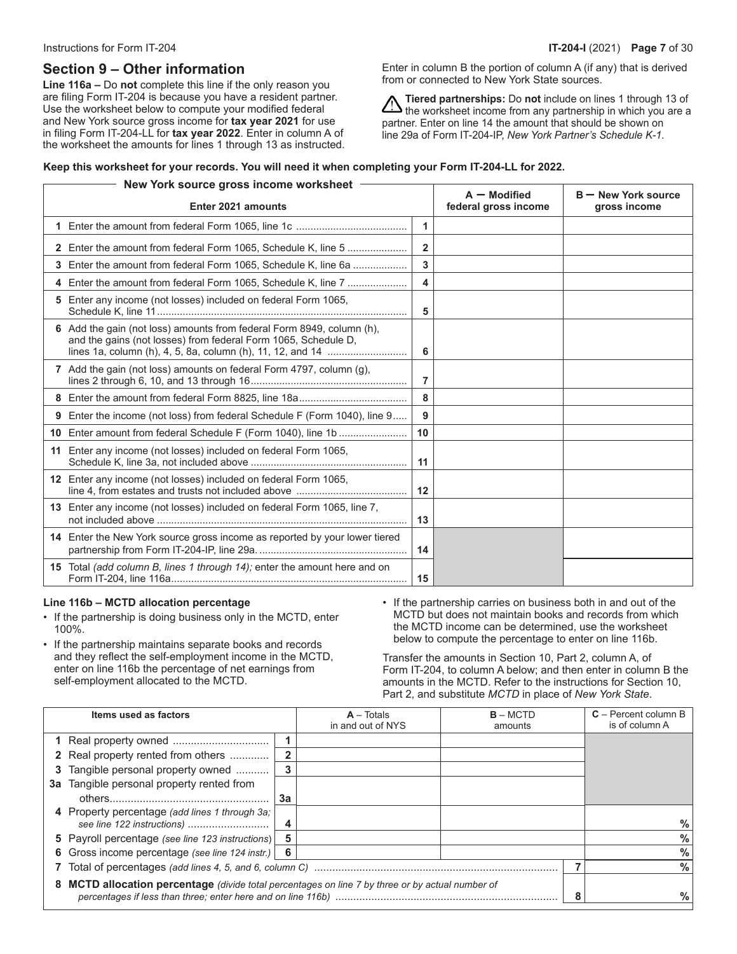# **Section 9 – Other information**

**Line 116a –** Do **not** complete this line if the only reason you are filing Form IT-204 is because you have a resident partner. Use the worksheet below to compute your modified federal and New York source gross income for **tax year 2021** for use in filing Form IT-204-LL for **tax year 2022**. Enter in column A of the worksheet the amounts for lines 1 through 13 as instructed.

Enter in column B the portion of column A (if any) that is derived from or connected to New York State sources.

**Tiered partnerships:** Do **not** include on lines 1 through 13 of  $\sum$  the worksheet income from any partnership in which you are a partner. Enter on line 14 the amount that should be shown on line 29a of Form IT-204-IP, *New York Partner's Schedule K-1.*

#### **Keep this worksheet for your records. You will need it when completing your Form IT-204-LL for 2022.**

|    | New York source gross income worksheet                                                                                                  | $A -$ Modified | $B -$ New York source |              |
|----|-----------------------------------------------------------------------------------------------------------------------------------------|----------------|-----------------------|--------------|
|    | Enter 2021 amounts                                                                                                                      |                | federal gross income  | gross income |
|    |                                                                                                                                         | 1              |                       |              |
|    | 2 Enter the amount from federal Form 1065, Schedule K, line 5                                                                           | $\overline{2}$ |                       |              |
|    | 3 Enter the amount from federal Form 1065, Schedule K, line 6a                                                                          | 3              |                       |              |
|    | 4 Enter the amount from federal Form 1065, Schedule K, line 7                                                                           | 4              |                       |              |
|    | 5 Enter any income (not losses) included on federal Form 1065,                                                                          | 5              |                       |              |
|    | 6 Add the gain (not loss) amounts from federal Form 8949, column (h),<br>and the gains (not losses) from federal Form 1065, Schedule D. | 6              |                       |              |
|    | 7 Add the gain (not loss) amounts on federal Form 4797, column (g),                                                                     | $\overline{7}$ |                       |              |
|    |                                                                                                                                         | 8              |                       |              |
| 9  | Enter the income (not loss) from federal Schedule F (Form 1040), line 9                                                                 | 9              |                       |              |
|    |                                                                                                                                         | 10             |                       |              |
| 11 | Enter any income (not losses) included on federal Form 1065,                                                                            | 11             |                       |              |
|    | 12 Enter any income (not losses) included on federal Form 1065,                                                                         | 12             |                       |              |
|    | 13 Enter any income (not losses) included on federal Form 1065, line 7,                                                                 | 13             |                       |              |
|    | 14 Enter the New York source gross income as reported by your lower tiered                                                              | 14             |                       |              |
|    | 15 Total (add column B, lines 1 through 14); enter the amount here and on                                                               | 15             |                       |              |

#### **Line 116b – MCTD allocation percentage**

- If the partnership is doing business only in the MCTD, enter 100%.
- If the partnership maintains separate books and records and they reflect the self-employment income in the MCTD, enter on line 116b the percentage of net earnings from self-employment allocated to the MCTD.
- If the partnership carries on business both in and out of the MCTD but does not maintain books and records from which the MCTD income can be determined, use the worksheet below to compute the percentage to enter on line 116b.

Transfer the amounts in Section 10, Part 2, column A, of Form IT-204, to column A below; and then enter in column B the amounts in the MCTD. Refer to the instructions for Section 10, Part 2, and substitute *MCTD* in place of *New York State*.

|   | Items used as factors                                                                          |                | $B - MCTD$<br>$A - \text{Totals}$<br>in and out of NYS<br>amounts |   | $C -$ Percent column B<br>is of column A |
|---|------------------------------------------------------------------------------------------------|----------------|-------------------------------------------------------------------|---|------------------------------------------|
|   |                                                                                                |                |                                                                   |   |                                          |
|   | 2 Real property rented from others                                                             | $\overline{2}$ |                                                                   |   |                                          |
|   | 3 Tangible personal property owned                                                             |                |                                                                   |   |                                          |
|   | 3a Tangible personal property rented from                                                      |                |                                                                   |   |                                          |
|   |                                                                                                | 3a             |                                                                   |   |                                          |
|   | 4 Property percentage (add lines 1 through 3a;                                                 | 4              |                                                                   |   | %                                        |
|   | <b>5</b> Payroll percentage (see line 123 instructions)                                        | 5              |                                                                   |   | %                                        |
|   | 6 Gross income percentage (see line 124 instr.)                                                | 6              |                                                                   |   | %                                        |
|   |                                                                                                |                |                                                                   |   | %                                        |
| 8 | MCTD allocation percentage (divide total percentages on line 7 by three or by actual number of |                |                                                                   | 8 | %∣                                       |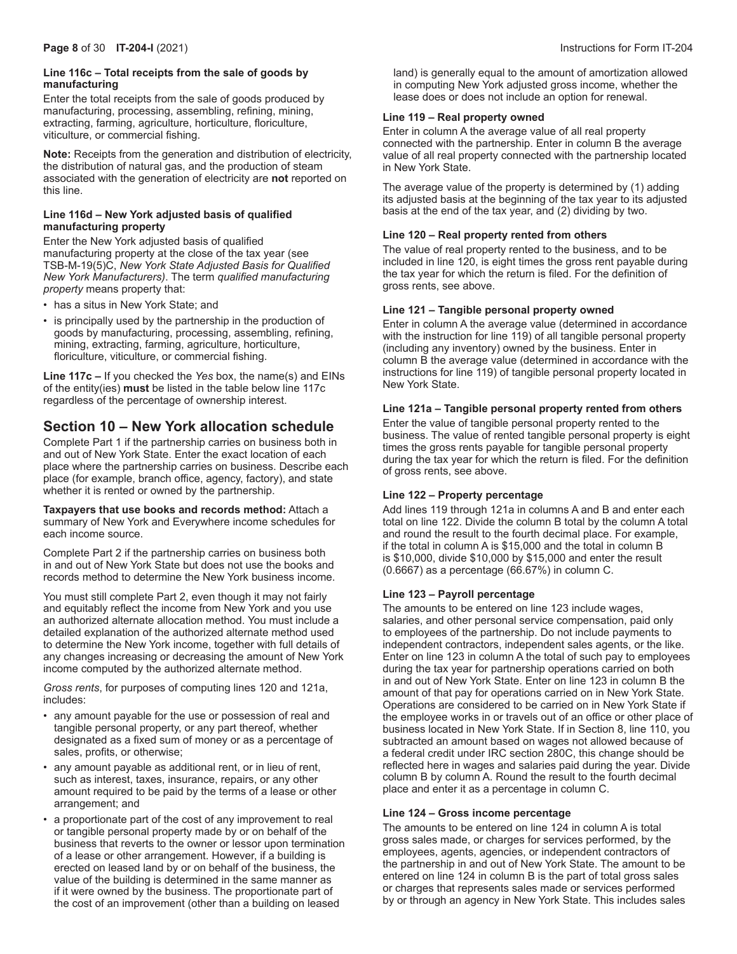#### **Line 116c – Total receipts from the sale of goods by manufacturing**

Enter the total receipts from the sale of goods produced by manufacturing, processing, assembling, refining, mining, extracting, farming, agriculture, horticulture, floriculture, viticulture, or commercial fishing.

**Note:** Receipts from the generation and distribution of electricity, the distribution of natural gas, and the production of steam associated with the generation of electricity are **not** reported on this line.

#### **Line 116d – New York adjusted basis of qualified manufacturing property**

Enter the New York adjusted basis of qualified manufacturing property at the close of the tax year (see TSB-M-19(5)C, *New York State Adjusted Basis for Qualified New York Manufacturers)*. The term *qualified manufacturing property* means property that:

- has a situs in New York State; and
- is principally used by the partnership in the production of goods by manufacturing, processing, assembling, refining, mining, extracting, farming, agriculture, horticulture, floriculture, viticulture, or commercial fishing.

**Line 117c –** If you checked the *Yes* box, the name(s) and EINs of the entity(ies) **must** be listed in the table below line 117c regardless of the percentage of ownership interest.

# **Section 10 – New York allocation schedule**

Complete Part 1 if the partnership carries on business both in and out of New York State. Enter the exact location of each place where the partnership carries on business. Describe each place (for example, branch office, agency, factory), and state whether it is rented or owned by the partnership.

**Taxpayers that use books and records method:** Attach a summary of New York and Everywhere income schedules for each income source.

Complete Part 2 if the partnership carries on business both in and out of New York State but does not use the books and records method to determine the New York business income.

You must still complete Part 2, even though it may not fairly and equitably reflect the income from New York and you use an authorized alternate allocation method. You must include a detailed explanation of the authorized alternate method used to determine the New York income, together with full details of any changes increasing or decreasing the amount of New York income computed by the authorized alternate method.

*Gross rents*, for purposes of computing lines 120 and 121a, includes:

- any amount payable for the use or possession of real and tangible personal property, or any part thereof, whether designated as a fixed sum of money or as a percentage of sales, profits, or otherwise;
- any amount payable as additional rent, or in lieu of rent, such as interest, taxes, insurance, repairs, or any other amount required to be paid by the terms of a lease or other arrangement; and
- a proportionate part of the cost of any improvement to real or tangible personal property made by or on behalf of the business that reverts to the owner or lessor upon termination of a lease or other arrangement. However, if a building is erected on leased land by or on behalf of the business, the value of the building is determined in the same manner as if it were owned by the business. The proportionate part of the cost of an improvement (other than a building on leased

land) is generally equal to the amount of amortization allowed in computing New York adjusted gross income, whether the lease does or does not include an option for renewal.

#### **Line 119 – Real property owned**

Enter in column A the average value of all real property connected with the partnership. Enter in column B the average value of all real property connected with the partnership located in New York State.

The average value of the property is determined by (1) adding its adjusted basis at the beginning of the tax year to its adjusted basis at the end of the tax year, and (2) dividing by two.

## **Line 120 – Real property rented from others**

The value of real property rented to the business, and to be included in line 120, is eight times the gross rent payable during the tax year for which the return is filed. For the definition of gross rents, see above.

#### **Line 121 – Tangible personal property owned**

Enter in column A the average value (determined in accordance with the instruction for line 119) of all tangible personal property (including any inventory) owned by the business. Enter in column B the average value (determined in accordance with the instructions for line 119) of tangible personal property located in New York State.

#### **Line 121a – Tangible personal property rented from others**

Enter the value of tangible personal property rented to the business. The value of rented tangible personal property is eight times the gross rents payable for tangible personal property during the tax year for which the return is filed. For the definition of gross rents, see above.

#### **Line 122 – Property percentage**

Add lines 119 through 121a in columns A and B and enter each total on line 122. Divide the column B total by the column A total and round the result to the fourth decimal place. For example, if the total in column A is \$15,000 and the total in column B is \$10,000, divide \$10,000 by \$15,000 and enter the result (0.6667) as a percentage (66.67%) in column C.

#### **Line 123 – Payroll percentage**

The amounts to be entered on line 123 include wages, salaries, and other personal service compensation, paid only to employees of the partnership. Do not include payments to independent contractors, independent sales agents, or the like. Enter on line 123 in column A the total of such pay to employees during the tax year for partnership operations carried on both in and out of New York State. Enter on line 123 in column B the amount of that pay for operations carried on in New York State. Operations are considered to be carried on in New York State if the employee works in or travels out of an office or other place of business located in New York State. If in Section 8, line 110, you subtracted an amount based on wages not allowed because of a federal credit under IRC section 280C, this change should be reflected here in wages and salaries paid during the year. Divide column B by column A. Round the result to the fourth decimal place and enter it as a percentage in column C.

#### **Line 124 – Gross income percentage**

The amounts to be entered on line 124 in column A is total gross sales made, or charges for services performed, by the employees, agents, agencies, or independent contractors of the partnership in and out of New York State. The amount to be entered on line 124 in column B is the part of total gross sales or charges that represents sales made or services performed by or through an agency in New York State. This includes sales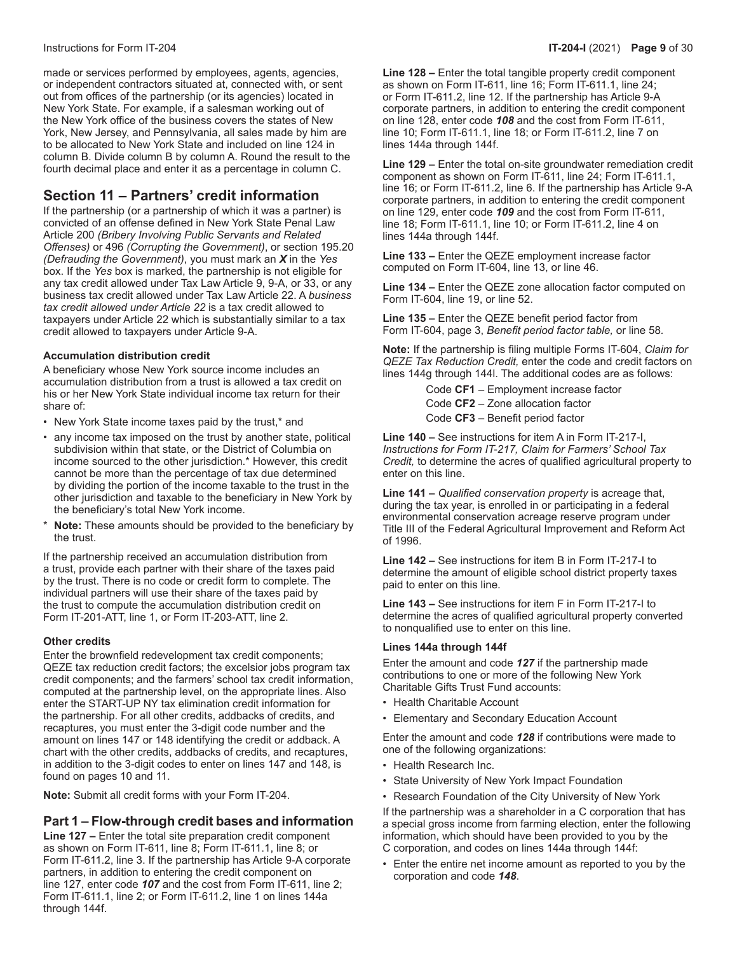made or services performed by employees, agents, agencies, or independent contractors situated at, connected with, or sent out from offices of the partnership (or its agencies) located in New York State. For example, if a salesman working out of the New York office of the business covers the states of New York, New Jersey, and Pennsylvania, all sales made by him are to be allocated to New York State and included on line 124 in column B. Divide column B by column A. Round the result to the fourth decimal place and enter it as a percentage in column C.

# **Section 11 – Partners' credit information**

If the partnership (or a partnership of which it was a partner) is convicted of an offense defined in New York State Penal Law Article 200 *(Bribery Involving Public Servants and Related Offenses)* or 496 *(Corrupting the Government)*, or section 195.20 *(Defrauding the Government)*, you must mark an *X* in the *Yes* box. If the *Yes* box is marked, the partnership is not eligible for any tax credit allowed under Tax Law Article 9, 9-A, or 33, or any business tax credit allowed under Tax Law Article 22. A *business tax credit allowed under Article 22* is a tax credit allowed to taxpayers under Article 22 which is substantially similar to a tax credit allowed to taxpayers under Article 9-A.

#### **Accumulation distribution credit**

A beneficiary whose New York source income includes an accumulation distribution from a trust is allowed a tax credit on his or her New York State individual income tax return for their share of:

- New York State income taxes paid by the trust,\* and
- any income tax imposed on the trust by another state, political subdivision within that state, or the District of Columbia on income sourced to the other jurisdiction.\* However, this credit cannot be more than the percentage of tax due determined by dividing the portion of the income taxable to the trust in the other jurisdiction and taxable to the beneficiary in New York by the beneficiary's total New York income.
- **Note:** These amounts should be provided to the beneficiary by the trust.

If the partnership received an accumulation distribution from a trust, provide each partner with their share of the taxes paid by the trust. There is no code or credit form to complete. The individual partners will use their share of the taxes paid by the trust to compute the accumulation distribution credit on Form IT-201-ATT, line 1, or Form IT-203-ATT, line 2.

#### **Other credits**

Enter the brownfield redevelopment tax credit components; QEZE tax reduction credit factors; the excelsior jobs program tax credit components; and the farmers' school tax credit information, computed at the partnership level, on the appropriate lines. Also enter the START-UP NY tax elimination credit information for the partnership. For all other credits, addbacks of credits, and recaptures, you must enter the 3-digit code number and the amount on lines 147 or 148 identifying the credit or addback. A chart with the other credits, addbacks of credits, and recaptures, in addition to the 3-digit codes to enter on lines 147 and 148, is found on pages 10 and 11.

**Note:** Submit all credit forms with your Form IT-204.

# **Part 1 – Flow-through credit bases and information**

**Line 127 –** Enter the total site preparation credit component as shown on Form IT-611, line 8; Form IT-611.1, line 8; or Form IT-611.2, line 3. If the partnership has Article 9-A corporate partners, in addition to entering the credit component on line 127, enter code *107* and the cost from Form IT-611, line 2; Form IT-611.1, line 2; or Form IT-611.2, line 1 on lines 144a through 144f.

**Line 128 –** Enter the total tangible property credit component as shown on Form IT-611, line 16; Form IT-611.1, line 24; or Form IT-611.2, line 12. If the partnership has Article 9-A corporate partners, in addition to entering the credit component on line 128, enter code *108* and the cost from Form IT-611, line 10; Form IT-611.1, line 18; or Form IT-611.2, line 7 on lines 144a through 144f.

**Line 129 –** Enter the total on-site groundwater remediation credit component as shown on Form IT-611, line 24; Form IT-611.1, line 16; or Form IT-611.2, line 6. If the partnership has Article 9-A corporate partners, in addition to entering the credit component on line 129, enter code *109* and the cost from Form IT-611, line 18; Form IT-611.1, line 10; or Form IT-611.2, line 4 on lines 144a through 144f.

**Line 133 –** Enter the QEZE employment increase factor computed on Form IT-604, line 13, or line 46.

**Line 134 –** Enter the QEZE zone allocation factor computed on Form IT-604, line 19, or line 52.

**Line 135 –** Enter the QEZE benefit period factor from Form IT-604, page 3, *Benefit period factor table,* or line 58*.*

**Note:** If the partnership is filing multiple Forms IT-604, *Claim for QEZE Tax Reduction Credit,* enter the code and credit factors on lines 144g through 144l. The additional codes are as follows:

> Code **CF1** – Employment increase factor Code **CF2** – Zone allocation factor Code **CF3** – Benefit period factor

**Line 140 –** See instructions for item A in Form IT-217-I, *Instructions for Form IT-217, Claim for Farmers' School Tax Credit,* to determine the acres of qualified agricultural property to enter on this line.

**Line 141 –** *Qualified conservation property* is acreage that, during the tax year, is enrolled in or participating in a federal environmental conservation acreage reserve program under Title III of the Federal Agricultural Improvement and Reform Act of 1996.

**Line 142 –** See instructions for item B in Form IT-217-I to determine the amount of eligible school district property taxes paid to enter on this line.

**Line 143 –** See instructions for item F in Form IT-217-I to determine the acres of qualified agricultural property converted to nonqualified use to enter on this line.

#### **Lines 144a through 144f**

Enter the amount and code *127* if the partnership made contributions to one or more of the following New York Charitable Gifts Trust Fund accounts:

- Health Charitable Account
- Elementary and Secondary Education Account

Enter the amount and code *128* if contributions were made to one of the following organizations:

- Health Research Inc.
- State University of New York Impact Foundation
- Research Foundation of the City University of New York

If the partnership was a shareholder in a C corporation that has a special gross income from farming election, enter the following information, which should have been provided to you by the C corporation, and codes on lines 144a through 144f:

Enter the entire net income amount as reported to you by the corporation and code *148*.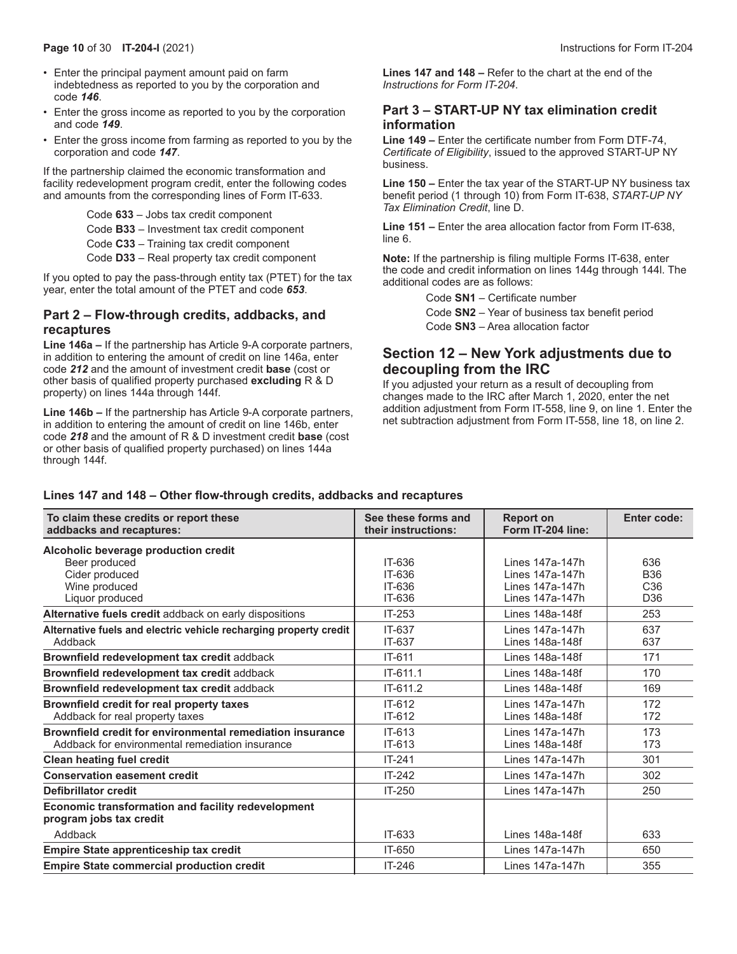- Enter the principal payment amount paid on farm indebtedness as reported to you by the corporation and code *146*.
- Enter the gross income as reported to you by the corporation and code *149*.
- Enter the gross income from farming as reported to you by the corporation and code *147*.

If the partnership claimed the economic transformation and facility redevelopment program credit, enter the following codes and amounts from the corresponding lines of Form IT-633.

Code **633** – Jobs tax credit component

Code **B33** – Investment tax credit component

Code **C33** – Training tax credit component

Code **D33** – Real property tax credit component

If you opted to pay the pass-through entity tax (PTET) for the tax year, enter the total amount of the PTET and code *653*.

## **Part 2 – Flow-through credits, addbacks, and recaptures**

**Line 146a –** If the partnership has Article 9-A corporate partners, in addition to entering the amount of credit on line 146a, enter code *212* and the amount of investment credit **base** (cost or other basis of qualified property purchased **excluding** R & D property) on lines 144a through 144f.

**Line 146b –** If the partnership has Article 9-A corporate partners, in addition to entering the amount of credit on line 146b, enter code *218* and the amount of R & D investment credit **base** (cost or other basis of qualified property purchased) on lines 144a through 144f.

**Lines 147 and 148 –** Refer to the chart at the end of the *Instructions for Form IT-204*.

# **Part 3 – START-UP NY tax elimination credit information**

**Line 149 –** Enter the certificate number from Form DTF-74, *Certificate of Eligibility*, issued to the approved START-UP NY business.

**Line 150 –** Enter the tax year of the START-UP NY business tax benefit period (1 through 10) from Form IT-638, *START-UP NY Tax Elimination Credit*, line D.

**Line 151 –** Enter the area allocation factor from Form IT-638, line 6.

**Note:** If the partnership is filing multiple Forms IT-638, enter the code and credit information on lines 144g through 144l. The additional codes are as follows:

Code **SN1** – Certificate number

Code **SN2** – Year of business tax benefit period

Code **SN3** – Area allocation factor

# **Section 12 – New York adjustments due to decoupling from the IRC**

If you adjusted your return as a result of decoupling from changes made to the IRC after March 1, 2020, enter the net addition adjustment from Form IT-558, line 9, on line 1. Enter the net subtraction adjustment from Form IT-558, line 18, on line 2.

## **Lines 147 and 148 – Other flow-through credits, addbacks and recaptures**

| To claim these credits or report these<br>addbacks and recaptures: | See these forms and<br>their instructions: | <b>Report on</b><br>Form IT-204 line: | Enter code:     |  |
|--------------------------------------------------------------------|--------------------------------------------|---------------------------------------|-----------------|--|
| Alcoholic beverage production credit                               |                                            |                                       |                 |  |
| Beer produced                                                      | IT-636                                     | Lines 147a-147h                       | 636             |  |
| Cider produced                                                     | IT-636                                     | Lines 147a-147h                       | <b>B36</b>      |  |
| Wine produced                                                      | IT-636                                     | Lines 147a-147h                       | C <sub>36</sub> |  |
| Liquor produced                                                    | IT-636                                     | Lines 147a-147h                       | D36             |  |
| Alternative fuels credit addback on early dispositions             | $IT-253$                                   | Lines 148a-148f                       | 253             |  |
| Alternative fuels and electric vehicle recharging property credit  | IT-637                                     | I ines 147a-147h                      | 637             |  |
| Addback                                                            | IT-637                                     | Lines 148a-148f                       | 637             |  |
| Brownfield redevelopment tax credit addback                        | IT-611                                     | Lines 148a-148f                       | 171             |  |
| Brownfield redevelopment tax credit addback                        | IT-611.1                                   | Lines 148a-148f                       | 170             |  |
| Brownfield redevelopment tax credit addback                        | IT-611.2                                   | Lines 148a-148f                       | 169             |  |
| Brownfield credit for real property taxes                          | IT-612                                     | Lines 147a-147h                       | 172             |  |
| Addback for real property taxes                                    | IT-612                                     | Lines 148a-148f                       | 172             |  |
| Brownfield credit for environmental remediation insurance          | $IT-613$                                   | Lines 147a-147h                       | 173             |  |
| Addback for environmental remediation insurance                    | IT-613                                     | Lines 148a-148f                       | 173             |  |
| <b>Clean heating fuel credit</b>                                   | $IT-241$                                   | Lines 147a-147h                       | 301             |  |
| <b>Conservation easement credit</b>                                | $IT-242$                                   | Lines 147a-147h                       | 302             |  |
| Defibrillator credit                                               | IT-250                                     | Lines 147a-147h                       | 250             |  |
| <b>Economic transformation and facility redevelopment</b>          |                                            |                                       |                 |  |
| program jobs tax credit                                            |                                            |                                       |                 |  |
| Addback                                                            | IT-633                                     | Lines 148a-148f                       | 633             |  |
| Empire State apprenticeship tax credit                             | IT-650                                     | Lines 147a-147h                       | 650             |  |
| <b>Empire State commercial production credit</b>                   | IT-246                                     | Lines 147a-147h                       | 355             |  |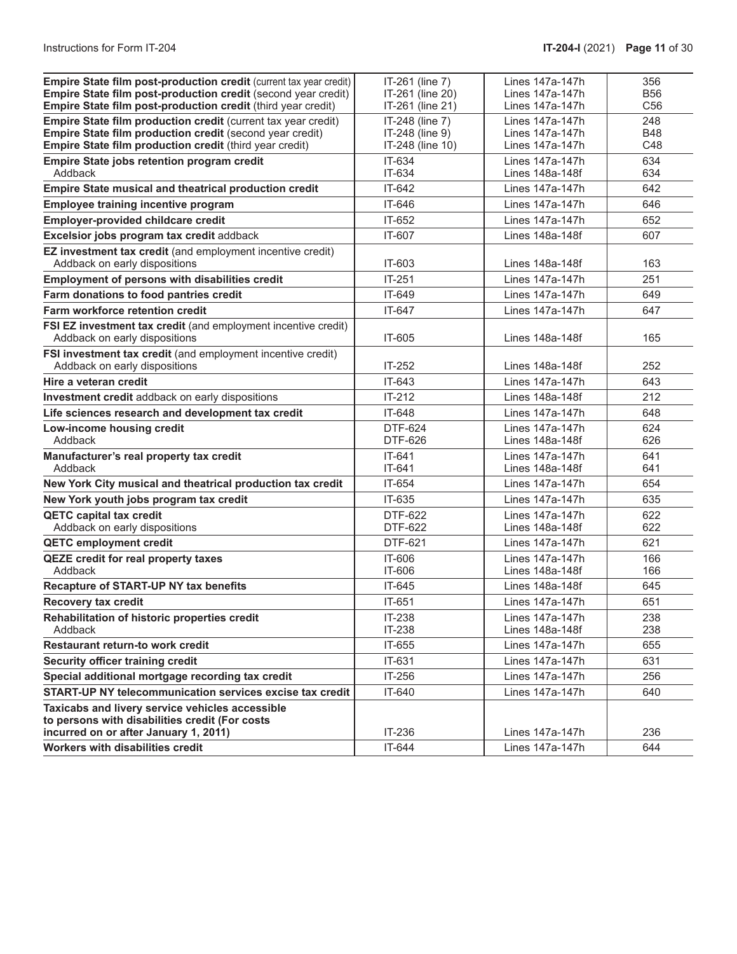| Empire State film post-production credit (current tax year credit)<br>Empire State film post-production credit (second year credit)        | IT-261 (line 7)<br>IT-261 (line 20) | Lines 147a-147h<br>Lines 147a-147h | 356<br><b>B56</b> |
|--------------------------------------------------------------------------------------------------------------------------------------------|-------------------------------------|------------------------------------|-------------------|
| Empire State film post-production credit (third year credit)                                                                               | IT-261 (line 21)                    | Lines 147a-147h                    | C <sub>56</sub>   |
| Empire State film production credit (current tax year credit)                                                                              | IT-248 (line 7)                     | Lines 147a-147h                    | 248               |
| Empire State film production credit (second year credit)<br>Empire State film production credit (third year credit)                        | IT-248 (line 9)<br>IT-248 (line 10) | Lines 147a-147h<br>Lines 147a-147h | <b>B48</b><br>C48 |
| Empire State jobs retention program credit<br>Addback                                                                                      | IT-634<br>IT-634                    | Lines 147a-147h<br>Lines 148a-148f | 634<br>634        |
| <b>Empire State musical and theatrical production credit</b>                                                                               | IT-642                              | Lines 147a-147h                    | 642               |
| <b>Employee training incentive program</b>                                                                                                 | IT-646                              | Lines 147a-147h                    | 646               |
| Employer-provided childcare credit                                                                                                         | IT-652                              | Lines 147a-147h                    | 652               |
| Excelsior jobs program tax credit addback                                                                                                  | IT-607                              | Lines 148a-148f                    | 607               |
| EZ investment tax credit (and employment incentive credit)                                                                                 |                                     |                                    |                   |
| Addback on early dispositions                                                                                                              | IT-603                              | Lines 148a-148f                    | 163               |
| Employment of persons with disabilities credit                                                                                             | IT-251                              | Lines 147a-147h                    | 251               |
| Farm donations to food pantries credit                                                                                                     | IT-649                              | Lines 147a-147h                    | 649               |
| Farm workforce retention credit                                                                                                            | IT-647                              | Lines 147a-147h                    | 647               |
| FSI EZ investment tax credit (and employment incentive credit)<br>Addback on early dispositions                                            | IT-605                              | Lines 148a-148f                    | 165               |
| FSI investment tax credit (and employment incentive credit)<br>Addback on early dispositions                                               | $IT-252$                            | Lines 148a-148f                    | 252               |
| Hire a veteran credit                                                                                                                      | IT-643                              | Lines 147a-147h                    | 643               |
| Investment credit addback on early dispositions                                                                                            | $IT-212$                            | I ines 148a-148f                   | 212               |
| Life sciences research and development tax credit                                                                                          | IT-648                              | Lines 147a-147h                    | 648               |
| Low-income housing credit<br>Addback                                                                                                       | DTF-624<br>DTF-626                  | Lines 147a-147h<br>Lines 148a-148f | 624<br>626        |
| Manufacturer's real property tax credit<br>Addback                                                                                         | IT-641<br>IT-641                    | Lines 147a-147h<br>Lines 148a-148f | 641<br>641        |
| New York City musical and theatrical production tax credit                                                                                 | IT-654                              | Lines 147a-147h                    | 654               |
| New York youth jobs program tax credit                                                                                                     | IT-635                              | Lines 147a-147h                    | 635               |
| <b>QETC capital tax credit</b><br>Addback on early dispositions                                                                            | DTF-622<br><b>DTF-622</b>           | Lines 147a-147h<br>Lines 148a-148f | 622<br>622        |
| <b>QETC employment credit</b>                                                                                                              | DTF-621                             | Lines 147a-147h                    | 621               |
| <b>QEZE credit for real property taxes</b>                                                                                                 | IT-606                              | Lines 147a-147h                    | 166               |
| Addback                                                                                                                                    | IT-606                              | Lines 148a-148f                    | 166               |
| Recapture of START-UP NY tax benefits                                                                                                      | IT-645                              | I ines 148a-148f                   | 645               |
| <b>Recovery tax credit</b>                                                                                                                 | IT-651                              | Lines 147a-147h                    | 651               |
| Rehabilitation of historic properties credit<br>Addback                                                                                    | IT-238<br>IT-238                    | Lines 147a-147h<br>Lines 148a-148f | 238<br>238        |
| <b>Restaurant return-to work credit</b>                                                                                                    | IT-655                              | Lines 147a-147h                    | 655               |
| Security officer training credit                                                                                                           | IT-631                              | Lines 147a-147h                    | 631               |
| Special additional mortgage recording tax credit                                                                                           | IT-256                              | Lines 147a-147h                    | 256               |
| START-UP NY telecommunication services excise tax credit                                                                                   | IT-640                              | Lines 147a-147h                    | 640               |
| Taxicabs and livery service vehicles accessible<br>to persons with disabilities credit (For costs<br>incurred on or after January 1, 2011) | IT-236                              | Lines 147a-147h                    | 236               |
| Workers with disabilities credit                                                                                                           | IT-644                              | Lines 147a-147h                    | 644               |
|                                                                                                                                            |                                     |                                    |                   |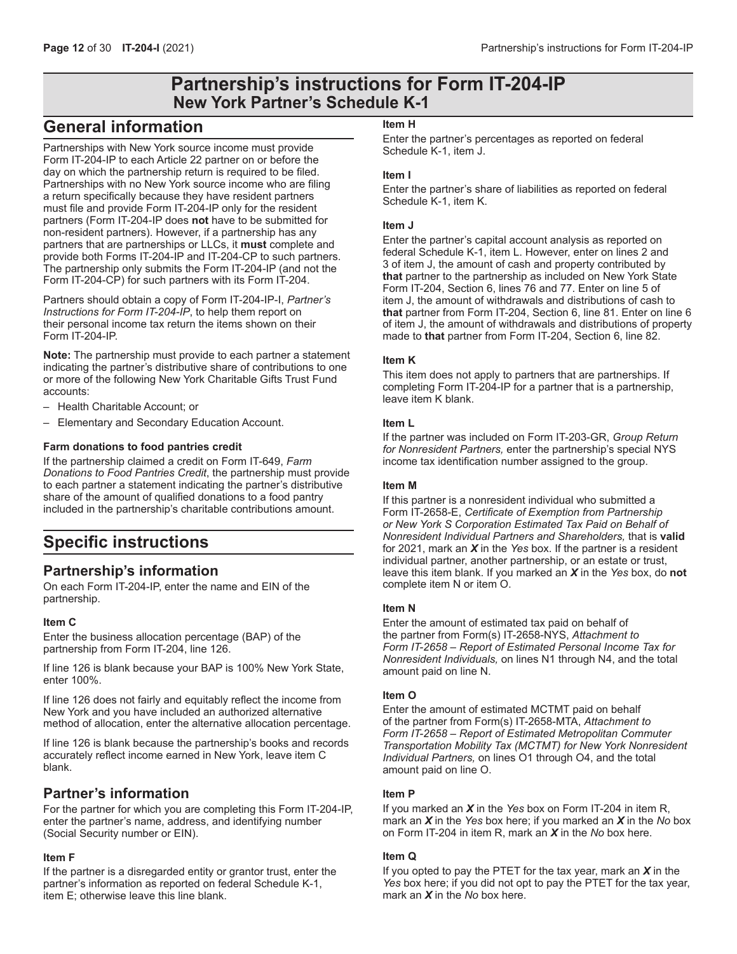# **Partnership's instructions for Form IT-204-IP New York Partner's Schedule K-1**

# **General information**

Partnerships with New York source income must provide Form IT-204-IP to each Article 22 partner on or before the day on which the partnership return is required to be filed. Partnerships with no New York source income who are filing a return specifically because they have resident partners must file and provide Form IT-204-IP only for the resident partners (Form IT-204-IP does **not** have to be submitted for non-resident partners). However, if a partnership has any partners that are partnerships or LLCs, it **must** complete and provide both Forms IT-204-IP and IT-204-CP to such partners. The partnership only submits the Form IT-204-IP (and not the Form IT-204-CP) for such partners with its Form IT-204.

Partners should obtain a copy of Form IT-204-IP-I, *Partner's Instructions for Form IT-204-IP*, to help them report on their personal income tax return the items shown on their Form IT-204-IP.

**Note:** The partnership must provide to each partner a statement indicating the partner's distributive share of contributions to one or more of the following New York Charitable Gifts Trust Fund accounts:

- Health Charitable Account; or
- Elementary and Secondary Education Account.

# **Farm donations to food pantries credit**

If the partnership claimed a credit on Form IT-649, *Farm Donations to Food Pantries Credit*, the partnership must provide to each partner a statement indicating the partner's distributive share of the amount of qualified donations to a food pantry included in the partnership's charitable contributions amount.

# **Specific instructions**

# **Partnership's information**

On each Form IT-204-IP, enter the name and EIN of the partnership.

## **Item C**

Enter the business allocation percentage (BAP) of the partnership from Form IT-204, line 126.

If line 126 is blank because your BAP is 100% New York State, enter 100%.

If line 126 does not fairly and equitably reflect the income from New York and you have included an authorized alternative method of allocation, enter the alternative allocation percentage.

If line 126 is blank because the partnership's books and records accurately reflect income earned in New York, leave item C blank.

# **Partner's information**

For the partner for which you are completing this Form IT-204-IP, enter the partner's name, address, and identifying number (Social Security number or EIN).

## **Item F**

If the partner is a disregarded entity or grantor trust, enter the partner's information as reported on federal Schedule K-1, item E; otherwise leave this line blank.

## **Item H**

Enter the partner's percentages as reported on federal Schedule K-1, item J.

## **Item I**

Enter the partner's share of liabilities as reported on federal Schedule K-1, item K.

#### **Item J**

Enter the partner's capital account analysis as reported on federal Schedule K-1, item L. However, enter on lines 2 and 3 of item J, the amount of cash and property contributed by **that** partner to the partnership as included on New York State Form IT-204, Section 6, lines 76 and 77. Enter on line 5 of item J, the amount of withdrawals and distributions of cash to **that** partner from Form IT-204, Section 6, line 81. Enter on line 6 of item J, the amount of withdrawals and distributions of property made to **that** partner from Form IT-204, Section 6, line 82.

## **Item K**

This item does not apply to partners that are partnerships. If completing Form IT-204-IP for a partner that is a partnership, leave item K blank.

#### **Item L**

If the partner was included on Form IT-203-GR, *Group Return for Nonresident Partners,* enter the partnership's special NYS income tax identification number assigned to the group.

## **Item M**

If this partner is a nonresident individual who submitted a Form IT-2658-E, *Certificate of Exemption from Partnership or New York S Corporation Estimated Tax Paid on Behalf of Nonresident Individual Partners and Shareholders,* that is **valid** for 2021, mark an *X* in the *Yes* box. If the partner is a resident individual partner, another partnership, or an estate or trust, leave this item blank. If you marked an *X* in the *Yes* box, do **not** complete item N or item O.

#### **Item N**

Enter the amount of estimated tax paid on behalf of the partner from Form(s) IT-2658-NYS, *Attachment to Form IT-2658 – Report of Estimated Personal Income Tax for Nonresident Individuals,* on lines N1 through N4, and the total amount paid on line N.

## **Item O**

Enter the amount of estimated MCTMT paid on behalf of the partner from Form(s) IT-2658-MTA, *Attachment to Form IT-2658 – Report of Estimated Metropolitan Commuter Transportation Mobility Tax (MCTMT) for New York Nonresident Individual Partners,* on lines O1 through O4, and the total amount paid on line O.

#### **Item P**

If you marked an *X* in the *Yes* box on Form IT-204 in item R, mark an *X* in the *Yes* box here; if you marked an *X* in the *No* box on Form IT-204 in item R, mark an *X* in the *No* box here.

#### **Item Q**

If you opted to pay the PTET for the tax year, mark an *X* in the *Yes* box here; if you did not opt to pay the PTET for the tax year, mark an *X* in the *No* box here.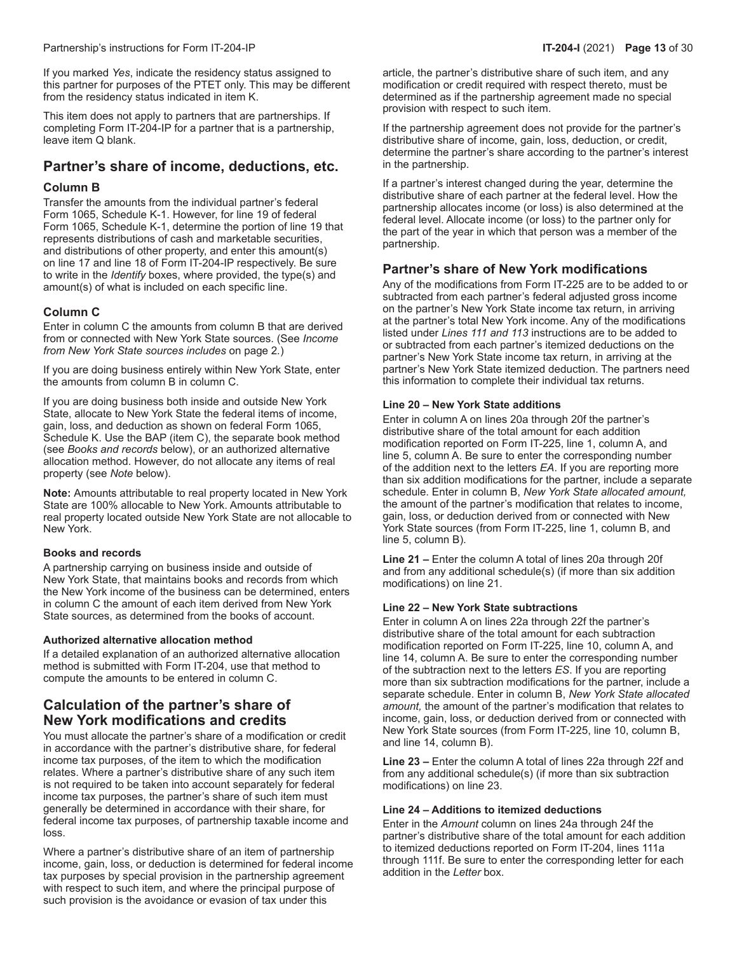If you marked *Yes*, indicate the residency status assigned to this partner for purposes of the PTET only. This may be different from the residency status indicated in item K.

This item does not apply to partners that are partnerships. If completing Form IT-204-IP for a partner that is a partnership, leave item Q blank.

# **Partner's share of income, deductions, etc.**

# **Column B**

Transfer the amounts from the individual partner's federal Form 1065, Schedule K-1. However, for line 19 of federal Form 1065, Schedule K-1, determine the portion of line 19 that represents distributions of cash and marketable securities, and distributions of other property, and enter this amount(s) on line 17 and line 18 of Form IT-204-IP respectively. Be sure to write in the *Identify* boxes, where provided, the type(s) and amount(s) of what is included on each specific line.

# **Column C**

Enter in column C the amounts from column B that are derived from or connected with New York State sources. (See *Income from New York State sources includes* on page 2*.*)

If you are doing business entirely within New York State, enter the amounts from column B in column C.

If you are doing business both inside and outside New York State, allocate to New York State the federal items of income, gain, loss, and deduction as shown on federal Form 1065, Schedule K. Use the BAP (item C), the separate book method (see *Books and records* below), or an authorized alternative allocation method. However, do not allocate any items of real property (see *Note* below).

**Note:** Amounts attributable to real property located in New York State are 100% allocable to New York. Amounts attributable to real property located outside New York State are not allocable to New York.

## **Books and records**

A partnership carrying on business inside and outside of New York State, that maintains books and records from which the New York income of the business can be determined, enters in column C the amount of each item derived from New York State sources, as determined from the books of account.

## **Authorized alternative allocation method**

If a detailed explanation of an authorized alternative allocation method is submitted with Form IT-204, use that method to compute the amounts to be entered in column C.

# **Calculation of the partner's share of New York modifications and credits**

You must allocate the partner's share of a modification or credit in accordance with the partner's distributive share, for federal income tax purposes, of the item to which the modification relates. Where a partner's distributive share of any such item is not required to be taken into account separately for federal income tax purposes, the partner's share of such item must generally be determined in accordance with their share, for federal income tax purposes, of partnership taxable income and loss.

Where a partner's distributive share of an item of partnership income, gain, loss, or deduction is determined for federal income tax purposes by special provision in the partnership agreement with respect to such item, and where the principal purpose of such provision is the avoidance or evasion of tax under this

article, the partner's distributive share of such item, and any modification or credit required with respect thereto, must be determined as if the partnership agreement made no special provision with respect to such item.

If the partnership agreement does not provide for the partner's distributive share of income, gain, loss, deduction, or credit, determine the partner's share according to the partner's interest in the partnership.

If a partner's interest changed during the year, determine the distributive share of each partner at the federal level. How the partnership allocates income (or loss) is also determined at the federal level. Allocate income (or loss) to the partner only for the part of the year in which that person was a member of the partnership.

# **Partner's share of New York modifications**

Any of the modifications from Form IT-225 are to be added to or subtracted from each partner's federal adjusted gross income on the partner's New York State income tax return, in arriving at the partner's total New York income. Any of the modifications listed under *Lines 111 and 113* instructions are to be added to or subtracted from each partner's itemized deductions on the partner's New York State income tax return, in arriving at the partner's New York State itemized deduction. The partners need this information to complete their individual tax returns.

## **Line 20 – New York State additions**

Enter in column A on lines 20a through 20f the partner's distributive share of the total amount for each addition modification reported on Form IT-225, line 1, column A, and line 5, column A. Be sure to enter the corresponding number of the addition next to the letters *EA*. If you are reporting more than six addition modifications for the partner, include a separate schedule. Enter in column B, *New York State allocated amount,* the amount of the partner's modification that relates to income, gain, loss, or deduction derived from or connected with New York State sources (from Form IT-225, line 1, column B, and line 5, column B).

**Line 21 –** Enter the column A total of lines 20a through 20f and from any additional schedule(s) (if more than six addition modifications) on line 21.

#### **Line 22 – New York State subtractions**

Enter in column A on lines 22a through 22f the partner's distributive share of the total amount for each subtraction modification reported on Form IT-225, line 10, column A, and line 14, column A. Be sure to enter the corresponding number of the subtraction next to the letters *ES*. If you are reporting more than six subtraction modifications for the partner, include a separate schedule. Enter in column B, *New York State allocated amount,* the amount of the partner's modification that relates to income, gain, loss, or deduction derived from or connected with New York State sources (from Form IT-225, line 10, column B, and line 14, column B).

**Line 23 –** Enter the column A total of lines 22a through 22f and from any additional schedule(s) (if more than six subtraction modifications) on line 23.

#### **Line 24 – Additions to itemized deductions**

Enter in the *Amount* column on lines 24a through 24f the partner's distributive share of the total amount for each addition to itemized deductions reported on Form IT-204, lines 111a through 111f. Be sure to enter the corresponding letter for each addition in the *Letter* box.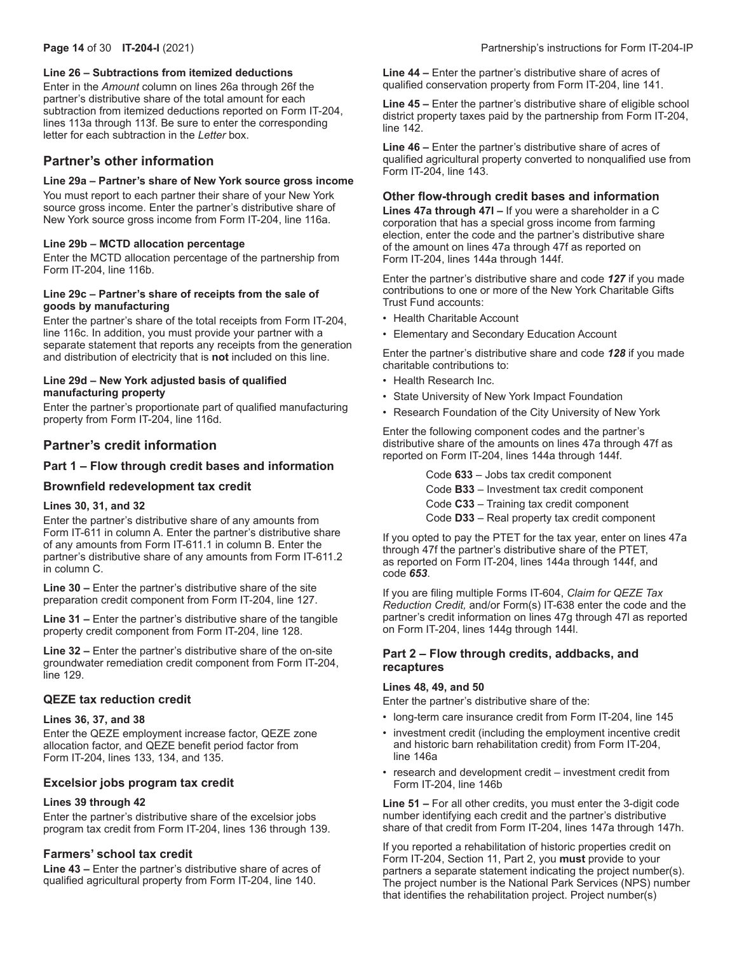#### **Line 26 – Subtractions from itemized deductions**

Enter in the *Amount* column on lines 26a through 26f the partner's distributive share of the total amount for each subtraction from itemized deductions reported on Form IT-204, lines 113a through 113f. Be sure to enter the corresponding letter for each subtraction in the *Letter* box.

# **Partner's other information**

#### **Line 29a – Partner's share of New York source gross income**

You must report to each partner their share of your New York source gross income. Enter the partner's distributive share of New York source gross income from Form IT-204, line 116a.

#### **Line 29b – MCTD allocation percentage**

Enter the MCTD allocation percentage of the partnership from Form IT-204, line 116b.

#### **Line 29c – Partner's share of receipts from the sale of goods by manufacturing**

Enter the partner's share of the total receipts from Form IT-204, line 116c. In addition, you must provide your partner with a separate statement that reports any receipts from the generation and distribution of electricity that is **not** included on this line.

#### **Line 29d – New York adjusted basis of qualified manufacturing property**

Enter the partner's proportionate part of qualified manufacturing property from Form IT-204, line 116d.

# **Partner's credit information**

## **Part 1 – Flow through credit bases and information**

## **Brownfield redevelopment tax credit**

#### **Lines 30, 31, and 32**

Enter the partner's distributive share of any amounts from Form IT-611 in column A. Enter the partner's distributive share of any amounts from Form IT-611.1 in column B. Enter the partner's distributive share of any amounts from Form IT-611.2 in column C.

**Line 30 –** Enter the partner's distributive share of the site preparation credit component from Form IT-204, line 127.

**Line 31 –** Enter the partner's distributive share of the tangible property credit component from Form IT-204, line 128.

**Line 32 –** Enter the partner's distributive share of the on-site groundwater remediation credit component from Form IT-204, line 129.

## **QEZE tax reduction credit**

#### **Lines 36, 37, and 38**

Enter the QEZE employment increase factor, QEZE zone allocation factor, and QEZE benefit period factor from Form IT-204, lines 133, 134, and 135.

## **Excelsior jobs program tax credit**

## **Lines 39 through 42**

Enter the partner's distributive share of the excelsior jobs program tax credit from Form IT-204, lines 136 through 139.

## **Farmers' school tax credit**

**Line 43 –** Enter the partner's distributive share of acres of qualified agricultural property from Form IT-204, line 140.

**Page 14** of 30 **IT-204-I** (2021) Partnership's instructions for Form IT-204-IP

**Line 44 –** Enter the partner's distributive share of acres of qualified conservation property from Form IT-204, line 141.

**Line 45 –** Enter the partner's distributive share of eligible school district property taxes paid by the partnership from Form IT-204, line 142.

**Line 46 –** Enter the partner's distributive share of acres of qualified agricultural property converted to nonqualified use from Form IT-204, line 143.

## **Other flow-through credit bases and information**

**Lines 47a through 47l –** If you were a shareholder in a C corporation that has a special gross income from farming election, enter the code and the partner's distributive share of the amount on lines 47a through 47f as reported on Form IT-204, lines 144a through 144f.

Enter the partner's distributive share and code *127* if you made contributions to one or more of the New York Charitable Gifts Trust Fund accounts:

- Health Charitable Account
- Elementary and Secondary Education Account

Enter the partner's distributive share and code *128* if you made charitable contributions to:

- Health Research Inc.
- State University of New York Impact Foundation
- Research Foundation of the City University of New York

Enter the following component codes and the partner's distributive share of the amounts on lines 47a through 47f as reported on Form IT-204, lines 144a through 144f.

- Code **633** Jobs tax credit component
- Code **B33** Investment tax credit component
- Code **C33** Training tax credit component
- Code **D33** Real property tax credit component

If you opted to pay the PTET for the tax year, enter on lines 47a through 47f the partner's distributive share of the PTET, as reported on Form IT-204, lines 144a through 144f, and code *653*.

If you are filing multiple Forms IT-604, *Claim for QEZE Tax Reduction Credit,* and/or Form(s) IT-638 enter the code and the partner's credit information on lines 47g through 47l as reported on Form IT-204, lines 144g through 144l.

#### **Part 2 – Flow through credits, addbacks, and recaptures**

#### **Lines 48, 49, and 50**

Enter the partner's distributive share of the:

- long-term care insurance credit from Form IT-204, line 145
- investment credit (including the employment incentive credit and historic barn rehabilitation credit) from Form IT-204, line 146a
- research and development credit investment credit from Form IT-204, line 146b

**Line 51 –** For all other credits, you must enter the 3-digit code number identifying each credit and the partner's distributive share of that credit from Form IT-204, lines 147a through 147h.

If you reported a rehabilitation of historic properties credit on Form IT-204, Section 11, Part 2, you **must** provide to your partners a separate statement indicating the project number(s). The project number is the National Park Services (NPS) number that identifies the rehabilitation project. Project number(s)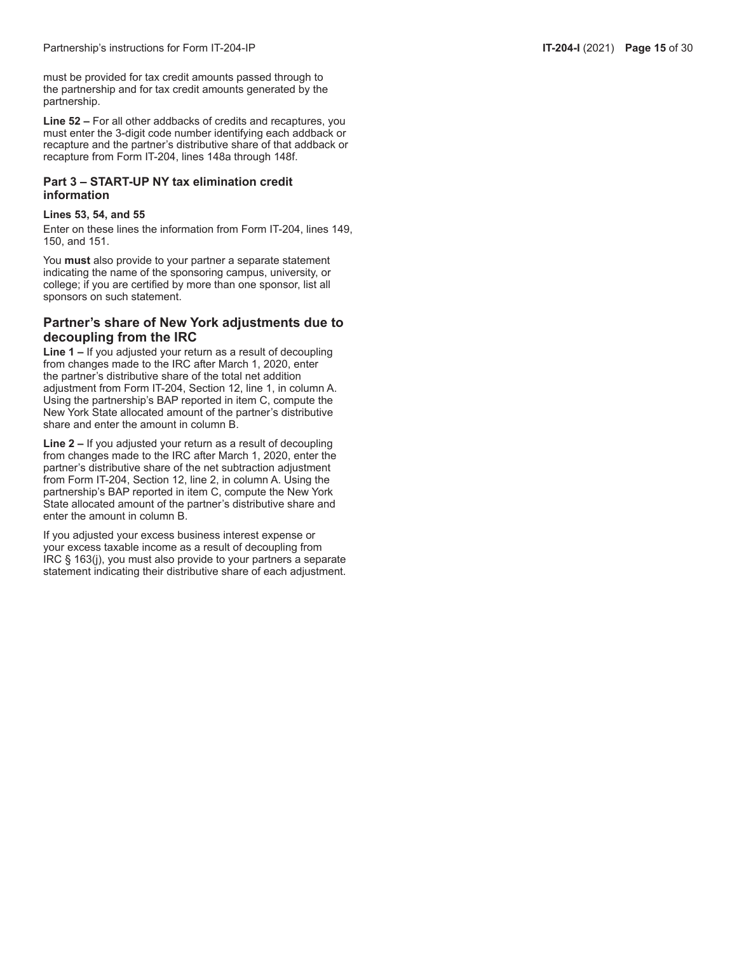must be provided for tax credit amounts passed through to the partnership and for tax credit amounts generated by the partnership.

**Line 52 –** For all other addbacks of credits and recaptures, you must enter the 3-digit code number identifying each addback or recapture and the partner's distributive share of that addback or recapture from Form IT-204, lines 148a through 148f.

#### **Part 3 – START-UP NY tax elimination credit information**

#### **Lines 53, 54, and 55**

Enter on these lines the information from Form IT-204, lines 149, 150, and 151.

You **must** also provide to your partner a separate statement indicating the name of the sponsoring campus, university, or college; if you are certified by more than one sponsor, list all sponsors on such statement.

# **Partner's share of New York adjustments due to decoupling from the IRC**

**Line 1 –** If you adjusted your return as a result of decoupling from changes made to the IRC after March 1, 2020, enter the partner's distributive share of the total net addition adjustment from Form IT-204, Section 12, line 1, in column A. Using the partnership's BAP reported in item C, compute the New York State allocated amount of the partner's distributive share and enter the amount in column B.

**Line 2 –** If you adjusted your return as a result of decoupling from changes made to the IRC after March 1, 2020, enter the partner's distributive share of the net subtraction adjustment from Form IT-204, Section 12, line 2, in column A. Using the partnership's BAP reported in item C, compute the New York State allocated amount of the partner's distributive share and enter the amount in column B.

If you adjusted your excess business interest expense or your excess taxable income as a result of decoupling from IRC § 163(j), you must also provide to your partners a separate statement indicating their distributive share of each adjustment.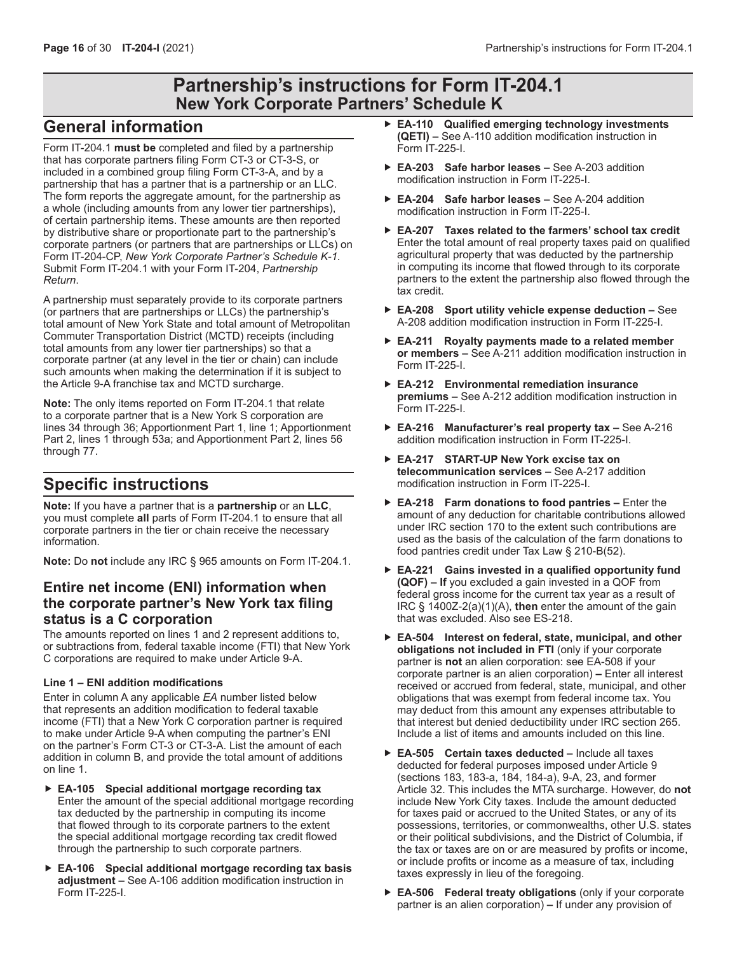# **Partnership's instructions for Form IT-204.1 New York Corporate Partners' Schedule K**

# **General information**

Form IT-204.1 **must be** completed and filed by a partnership that has corporate partners filing Form CT-3 or CT-3-S, or included in a combined group filing Form CT-3-A, and by a partnership that has a partner that is a partnership or an LLC. The form reports the aggregate amount, for the partnership as a whole (including amounts from any lower tier partnerships), of certain partnership items. These amounts are then reported by distributive share or proportionate part to the partnership's corporate partners (or partners that are partnerships or LLCs) on Form IT-204-CP, *New York Corporate Partner's Schedule K-1.*  Submit Form IT-204.1 with your Form IT-204, *Partnership Return*.

A partnership must separately provide to its corporate partners (or partners that are partnerships or LLCs) the partnership's total amount of New York State and total amount of Metropolitan Commuter Transportation District (MCTD) receipts (including total amounts from any lower tier partnerships) so that a corporate partner (at any level in the tier or chain) can include such amounts when making the determination if it is subject to the Article 9-A franchise tax and MCTD surcharge.

**Note:** The only items reported on Form IT-204.1 that relate to a corporate partner that is a New York S corporation are lines 34 through 36; Apportionment Part 1, line 1; Apportionment Part 2, lines 1 through 53a; and Apportionment Part 2, lines 56 through 77.

# **Specific instructions**

**Note:** If you have a partner that is a **partnership** or an **LLC**, you must complete **all** parts of Form IT-204.1 to ensure that all corporate partners in the tier or chain receive the necessary information.

**Note:** Do **not** include any IRC § 965 amounts on Form IT-204.1.

# **Entire net income (ENI) information when the corporate partner's New York tax filing status is a C corporation**

The amounts reported on lines 1 and 2 represent additions to, or subtractions from, federal taxable income (FTI) that New York C corporations are required to make under Article 9-A.

# **Line 1 – ENI addition modifications**

Enter in column A any applicable *EA* number listed below that represents an addition modification to federal taxable income (FTI) that a New York C corporation partner is required to make under Article 9-A when computing the partner's ENI on the partner's Form CT-3 or CT-3-A. List the amount of each addition in column B, and provide the total amount of additions on line 1.

- **EA-105 Special additional mortgage recording tax** Enter the amount of the special additional mortgage recording tax deducted by the partnership in computing its income that flowed through to its corporate partners to the extent the special additional mortgage recording tax credit flowed through the partnership to such corporate partners.
- **EA-106 Special additional mortgage recording tax basis adjustment –** See A-106 addition modification instruction in Form IT-225-I.
- **EA-110 Qualified emerging technology investments (QETI) –** See A-110 addition modification instruction in Form IT-225-I.
- **EA-203 Safe harbor leases** See A-203 addition modification instruction in Form IT-225-I.
- **EA-204 Safe harbor leases** See A-204 addition modification instruction in Form IT-225-I.
- **EA-207 Taxes related to the farmers' school tax credit**  Enter the total amount of real property taxes paid on qualified agricultural property that was deducted by the partnership in computing its income that flowed through to its corporate partners to the extent the partnership also flowed through the tax credit.
- **EA-208 Sport utility vehicle expense deduction** See A-208 addition modification instruction in Form IT-225-I.
- **EA-211 Royalty payments made to a related member or members –** See A-211 addition modification instruction in Form IT-225-I.
- **EA-212 Environmental remediation insurance premiums –** See A-212 addition modification instruction in Form IT-225-I.
- ► EA-216 Manufacturer's real property tax See A-216 addition modification instruction in Form IT-225-I.
- **EA-217 START-UP New York excise tax on telecommunication services –** See A-217 addition modification instruction in Form IT-225-I.
- **EA-218 Farm donations to food pantries –** Enter the amount of any deduction for charitable contributions allowed under IRC section 170 to the extent such contributions are used as the basis of the calculation of the farm donations to food pantries credit under Tax Law § 210-B(52).
- **EA-221 Gains invested in a qualified opportunity fund (QOF) – If** you excluded a gain invested in a QOF from federal gross income for the current tax year as a result of IRC § 1400Z-2(a)(1)(A), **then** enter the amount of the gain that was excluded. Also see ES-218.
- **EA-504 Interest on federal, state, municipal, and other obligations not included in FTI** (only if your corporate partner is **not** an alien corporation: see EA-508 if your corporate partner is an alien corporation) **–** Enter all interest received or accrued from federal, state, municipal, and other obligations that was exempt from federal income tax. You may deduct from this amount any expenses attributable to that interest but denied deductibility under IRC section 265. Include a list of items and amounts included on this line.
- **EA-505 Certain taxes deducted –** Include all taxes deducted for federal purposes imposed under Article 9 (sections 183, 183-a, 184, 184-a), 9-A, 23, and former Article 32. This includes the MTA surcharge. However, do **not** include New York City taxes. Include the amount deducted for taxes paid or accrued to the United States, or any of its possessions, territories, or commonwealths, other U.S. states or their political subdivisions, and the District of Columbia, if the tax or taxes are on or are measured by profits or income, or include profits or income as a measure of tax, including taxes expressly in lieu of the foregoing.
- **EA-506 Federal treaty obligations** (only if your corporate partner is an alien corporation) **–** If under any provision of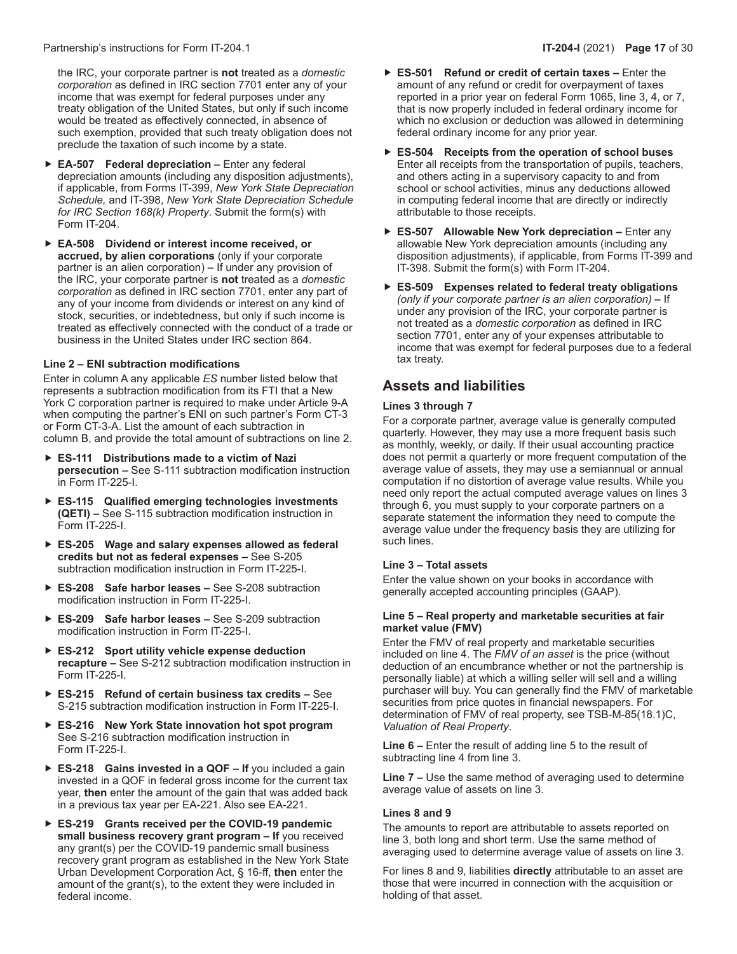the IRC, your corporate partner is **not** treated as a *domestic corporation* as defined in IRC section 7701 enter any of your income that was exempt for federal purposes under any treaty obligation of the United States, but only if such income would be treated as effectively connected, in absence of such exemption, provided that such treaty obligation does not preclude the taxation of such income by a state.

- **EA-507 Federal depreciation** Enter any federal depreciation amounts (including any disposition adjustments), if applicable, from Forms IT-399, *New York State Depreciation Schedule,* and IT-398, *New York State Depreciation Schedule for IRC Section 168(k) Property*. Submit the form(s) with Form IT-204.
- **EA-508 Dividend or interest income received, or accrued, by alien corporations** (only if your corporate partner is an alien corporation) **–** If under any provision of the IRC, your corporate partner is **not** treated as a *domestic corporation* as defined in IRC section 7701, enter any part of any of your income from dividends or interest on any kind of stock, securities, or indebtedness, but only if such income is treated as effectively connected with the conduct of a trade or business in the United States under IRC section 864.

#### **Line 2 – ENI subtraction modifications**

Enter in column A any applicable *ES* number listed below that represents a subtraction modification from its FTI that a New York C corporation partner is required to make under Article 9-A when computing the partner's ENI on such partner's Form CT-3 or Form CT-3-A. List the amount of each subtraction in column B, and provide the total amount of subtractions on line 2.

- **ES-111 Distributions made to a victim of Nazi persecution –** See S-111 subtraction modification instruction in Form IT-225-I.
- **ES-115 Qualified emerging technologies investments (QETI) –** See S-115 subtraction modification instruction in Form IT-225-I.
- **ES-205 Wage and salary expenses allowed as federal credits but not as federal expenses –** See S-205 subtraction modification instruction in Form IT-225-I.
- **ES-208 Safe harbor leases** See S-208 subtraction modification instruction in Form IT-225-I.
- **ES-209 Safe harbor leases** See S-209 subtraction modification instruction in Form IT-225-I.
- **ES-212 Sport utility vehicle expense deduction recapture –** See S-212 subtraction modification instruction in Form IT-225-I.
- **ES-215 Refund of certain business tax credits** See S-215 subtraction modification instruction in Form IT-225-I.
- **ES-216 New York State innovation hot spot program**  See S-216 subtraction modification instruction in Form IT-225-I.
- **ES-218 Gains invested in a QOF If** you included a gain invested in a QOF in federal gross income for the current tax year, **then** enter the amount of the gain that was added back in a previous tax year per EA-221. Also see EA-221.
- **ES-219 Grants received per the COVID-19 pandemic small business recovery grant program – If** you received any grant(s) per the COVID-19 pandemic small business recovery grant program as established in the New York State Urban Development Corporation Act, § 16-ff, **then** enter the amount of the grant(s), to the extent they were included in federal income.
- **ES-501 Refund or credit of certain taxes –** Enter the amount of any refund or credit for overpayment of taxes reported in a prior year on federal Form 1065, line 3, 4, or 7, that is now properly included in federal ordinary income for which no exclusion or deduction was allowed in determining federal ordinary income for any prior year.
- **ES-504 Receipts from the operation of school buses** Enter all receipts from the transportation of pupils, teachers, and others acting in a supervisory capacity to and from school or school activities, minus any deductions allowed in computing federal income that are directly or indirectly attributable to those receipts.
- **ES-507 Allowable New York depreciation** Enter any allowable New York depreciation amounts (including any disposition adjustments), if applicable, from Forms IT-399 and IT-398. Submit the form(s) with Form IT-204.
- **ES-509 Expenses related to federal treaty obligations**  *(only if your corporate partner is an alien corporation)* **–** If under any provision of the IRC, your corporate partner is not treated as a *domestic corporation* as defined in IRC section 7701, enter any of your expenses attributable to income that was exempt for federal purposes due to a federal tax treaty.

# **Assets and liabilities**

#### **Lines 3 through 7**

For a corporate partner, average value is generally computed quarterly. However, they may use a more frequent basis such as monthly, weekly, or daily. If their usual accounting practice does not permit a quarterly or more frequent computation of the average value of assets, they may use a semiannual or annual computation if no distortion of average value results. While you need only report the actual computed average values on lines 3 through 6, you must supply to your corporate partners on a separate statement the information they need to compute the average value under the frequency basis they are utilizing for such lines.

## **Line 3 – Total assets**

Enter the value shown on your books in accordance with generally accepted accounting principles (GAAP).

#### **Line 5 – Real property and marketable securities at fair market value (FMV)**

Enter the FMV of real property and marketable securities included on line 4. The *FMV of an asset* is the price (without deduction of an encumbrance whether or not the partnership is personally liable) at which a willing seller will sell and a willing purchaser will buy. You can generally find the FMV of marketable securities from price quotes in financial newspapers. For determination of FMV of real property, see TSB-M-85(18.1)C, *Valuation of Real Property*.

**Line 6 –** Enter the result of adding line 5 to the result of subtracting line 4 from line 3.

**Line 7 –** Use the same method of averaging used to determine average value of assets on line 3.

#### **Lines 8 and 9**

The amounts to report are attributable to assets reported on line 3, both long and short term. Use the same method of averaging used to determine average value of assets on line 3.

For lines 8 and 9, liabilities **directly** attributable to an asset are those that were incurred in connection with the acquisition or holding of that asset.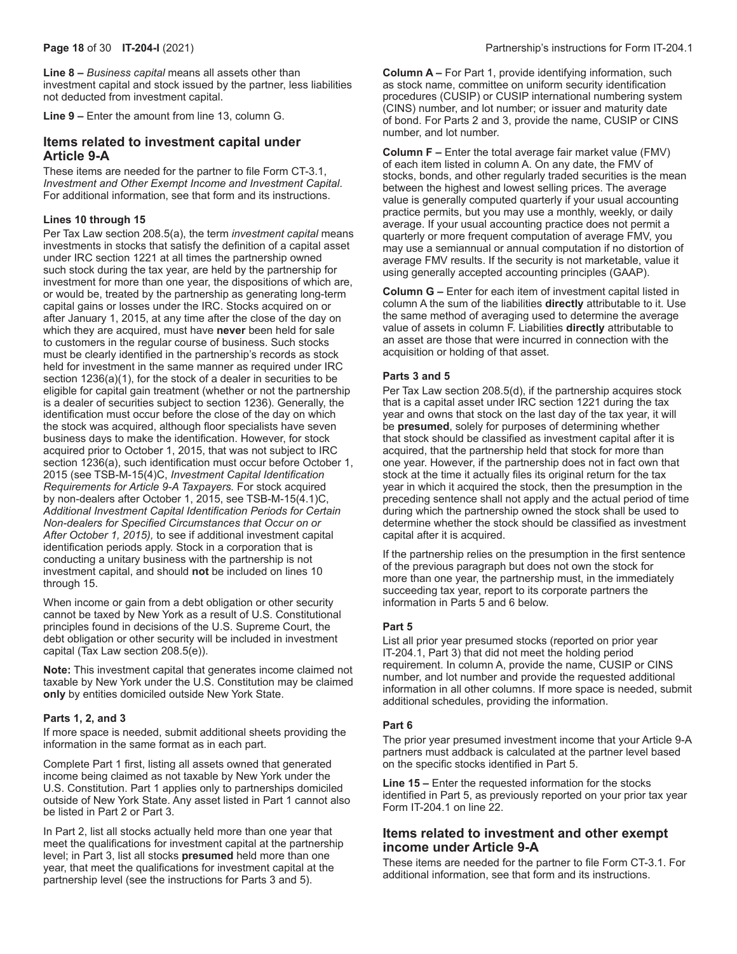**Line 8 –** *Business capital* means all assets other than investment capital and stock issued by the partner, less liabilities not deducted from investment capital.

**Line 9 –** Enter the amount from line 13, column G.

# **Items related to investment capital under Article 9-A**

These items are needed for the partner to file Form CT-3.1, *Investment and Other Exempt Income and Investment Capital*. For additional information, see that form and its instructions.

#### **Lines 10 through 15**

Per Tax Law section 208.5(a), the term *investment capital* means investments in stocks that satisfy the definition of a capital asset under IRC section 1221 at all times the partnership owned such stock during the tax year, are held by the partnership for investment for more than one year, the dispositions of which are, or would be, treated by the partnership as generating long-term capital gains or losses under the IRC. Stocks acquired on or after January 1, 2015, at any time after the close of the day on which they are acquired, must have **never** been held for sale to customers in the regular course of business. Such stocks must be clearly identified in the partnership's records as stock held for investment in the same manner as required under IRC section 1236(a)(1), for the stock of a dealer in securities to be eligible for capital gain treatment (whether or not the partnership is a dealer of securities subject to section 1236). Generally, the identification must occur before the close of the day on which the stock was acquired, although floor specialists have seven business days to make the identification. However, for stock acquired prior to October 1, 2015, that was not subject to IRC section 1236(a), such identification must occur before October 1, 2015 (see TSB-M-15(4)C, *Investment Capital Identification Requirements for Article 9-A Taxpayers.* For stock acquired by non-dealers after October 1, 2015, see TSB-M-15(4.1)C, *Additional Investment Capital Identification Periods for Certain Non-dealers for Specified Circumstances that Occur on or After October 1, 2015),* to see if additional investment capital identification periods apply. Stock in a corporation that is conducting a unitary business with the partnership is not investment capital, and should **not** be included on lines 10 through 15.

When income or gain from a debt obligation or other security cannot be taxed by New York as a result of U.S. Constitutional principles found in decisions of the U.S. Supreme Court, the debt obligation or other security will be included in investment capital (Tax Law section 208.5(e)).

**Note:** This investment capital that generates income claimed not taxable by New York under the U.S. Constitution may be claimed **only** by entities domiciled outside New York State.

#### **Parts 1, 2, and 3**

If more space is needed, submit additional sheets providing the information in the same format as in each part.

Complete Part 1 first, listing all assets owned that generated income being claimed as not taxable by New York under the U.S. Constitution. Part 1 applies only to partnerships domiciled outside of New York State. Any asset listed in Part 1 cannot also be listed in Part 2 or Part 3.

In Part 2, list all stocks actually held more than one year that meet the qualifications for investment capital at the partnership level; in Part 3, list all stocks **presumed** held more than one year, that meet the qualifications for investment capital at the partnership level (see the instructions for Parts 3 and 5).

**Column A –** For Part 1, provide identifying information, such as stock name, committee on uniform security identification procedures (CUSIP) or CUSIP international numbering system (CINS) number, and lot number; or issuer and maturity date of bond. For Parts 2 and 3, provide the name, CUSIP or CINS number, and lot number.

**Column F –** Enter the total average fair market value (FMV) of each item listed in column A. On any date, the FMV of stocks, bonds, and other regularly traded securities is the mean between the highest and lowest selling prices. The average value is generally computed quarterly if your usual accounting practice permits, but you may use a monthly, weekly, or daily average. If your usual accounting practice does not permit a quarterly or more frequent computation of average FMV, you may use a semiannual or annual computation if no distortion of average FMV results. If the security is not marketable, value it using generally accepted accounting principles (GAAP).

**Column G –** Enter for each item of investment capital listed in column A the sum of the liabilities **directly** attributable to it. Use the same method of averaging used to determine the average value of assets in column F. Liabilities **directly** attributable to an asset are those that were incurred in connection with the acquisition or holding of that asset.

#### **Parts 3 and 5**

Per Tax Law section 208.5(d), if the partnership acquires stock that is a capital asset under IRC section 1221 during the tax year and owns that stock on the last day of the tax year, it will be **presumed**, solely for purposes of determining whether that stock should be classified as investment capital after it is acquired, that the partnership held that stock for more than one year. However, if the partnership does not in fact own that stock at the time it actually files its original return for the tax year in which it acquired the stock, then the presumption in the preceding sentence shall not apply and the actual period of time during which the partnership owned the stock shall be used to determine whether the stock should be classified as investment capital after it is acquired.

If the partnership relies on the presumption in the first sentence of the previous paragraph but does not own the stock for more than one year, the partnership must, in the immediately succeeding tax year, report to its corporate partners the information in Parts 5 and 6 below.

## **Part 5**

List all prior year presumed stocks (reported on prior year IT-204.1, Part 3) that did not meet the holding period requirement. In column A, provide the name, CUSIP or CINS number, and lot number and provide the requested additional information in all other columns. If more space is needed, submit additional schedules, providing the information.

#### **Part 6**

The prior year presumed investment income that your Article 9-A partners must addback is calculated at the partner level based on the specific stocks identified in Part 5.

**Line 15 –** Enter the requested information for the stocks identified in Part 5, as previously reported on your prior tax year Form IT-204.1 on line 22.

# **Items related to investment and other exempt income under Article 9-A**

These items are needed for the partner to file Form CT-3.1. For additional information, see that form and its instructions.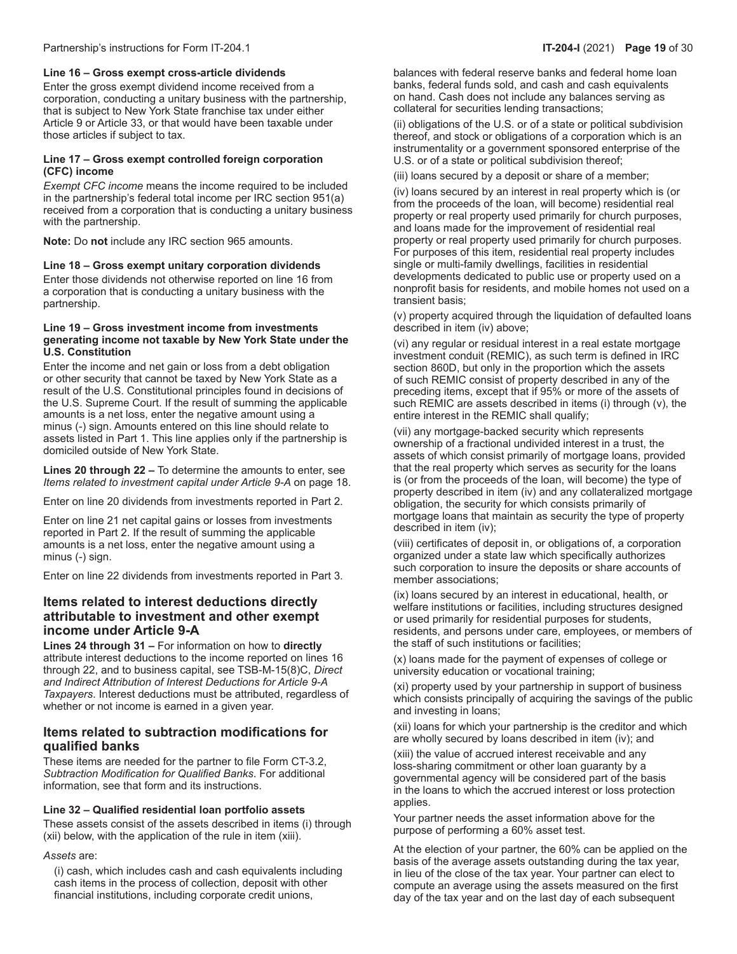#### **Line 16 – Gross exempt cross-article dividends**

Enter the gross exempt dividend income received from a corporation, conducting a unitary business with the partnership, that is subject to New York State franchise tax under either Article 9 or Article 33, or that would have been taxable under those articles if subject to tax.

#### **Line 17 – Gross exempt controlled foreign corporation (CFC) income**

*Exempt CFC income* means the income required to be included in the partnership's federal total income per IRC section 951(a) received from a corporation that is conducting a unitary business with the partnership.

**Note:** Do **not** include any IRC section 965 amounts.

#### **Line 18 – Gross exempt unitary corporation dividends**

Enter those dividends not otherwise reported on line 16 from a corporation that is conducting a unitary business with the partnership.

#### **Line 19 – Gross investment income from investments generating income not taxable by New York State under the U.S. Constitution**

Enter the income and net gain or loss from a debt obligation or other security that cannot be taxed by New York State as a result of the U.S. Constitutional principles found in decisions of the U.S. Supreme Court. If the result of summing the applicable amounts is a net loss, enter the negative amount using a minus (-) sign. Amounts entered on this line should relate to assets listed in Part 1. This line applies only if the partnership is domiciled outside of New York State.

**Lines 20 through 22 –** To determine the amounts to enter, see *Items related to investment capital under Article 9-A* on page 18.

Enter on line 20 dividends from investments reported in Part 2.

Enter on line 21 net capital gains or losses from investments reported in Part 2. If the result of summing the applicable amounts is a net loss, enter the negative amount using a minus (-) sign.

Enter on line 22 dividends from investments reported in Part 3.

## **Items related to interest deductions directly attributable to investment and other exempt income under Article 9-A**

**Lines 24 through 31 –** For information on how to **directly** attribute interest deductions to the income reported on lines 16 through 22, and to business capital, see TSB-M-15(8)C, *Direct and Indirect Attribution of Interest Deductions for Article 9-A Taxpayers*. Interest deductions must be attributed, regardless of whether or not income is earned in a given year.

## **Items related to subtraction modifications for qualified banks**

These items are needed for the partner to file Form CT-3.2, *Subtraction Modification for Qualified Banks*. For additional information, see that form and its instructions.

#### **Line 32 – Qualified residential loan portfolio assets**

These assets consist of the assets described in items (i) through (xii) below, with the application of the rule in item (xiii).

#### *Assets* are:

(i) cash, which includes cash and cash equivalents including cash items in the process of collection, deposit with other financial institutions, including corporate credit unions,

balances with federal reserve banks and federal home loan banks, federal funds sold, and cash and cash equivalents on hand. Cash does not include any balances serving as collateral for securities lending transactions;

(ii) obligations of the U.S. or of a state or political subdivision thereof, and stock or obligations of a corporation which is an instrumentality or a government sponsored enterprise of the U.S. or of a state or political subdivision thereof;

(iii) loans secured by a deposit or share of a member;

(iv) loans secured by an interest in real property which is (or from the proceeds of the loan, will become) residential real property or real property used primarily for church purposes, and loans made for the improvement of residential real property or real property used primarily for church purposes. For purposes of this item, residential real property includes single or multi-family dwellings, facilities in residential developments dedicated to public use or property used on a nonprofit basis for residents, and mobile homes not used on a transient basis;

(v) property acquired through the liquidation of defaulted loans described in item (iv) above;

(vi) any regular or residual interest in a real estate mortgage investment conduit (REMIC), as such term is defined in IRC section 860D, but only in the proportion which the assets of such REMIC consist of property described in any of the preceding items, except that if 95% or more of the assets of such REMIC are assets described in items (i) through (v), the entire interest in the REMIC shall qualify;

(vii) any mortgage-backed security which represents ownership of a fractional undivided interest in a trust, the assets of which consist primarily of mortgage loans, provided that the real property which serves as security for the loans is (or from the proceeds of the loan, will become) the type of property described in item (iv) and any collateralized mortgage obligation, the security for which consists primarily of mortgage loans that maintain as security the type of property described in item (iv);

(viii) certificates of deposit in, or obligations of, a corporation organized under a state law which specifically authorizes such corporation to insure the deposits or share accounts of member associations;

(ix) loans secured by an interest in educational, health, or welfare institutions or facilities, including structures designed or used primarily for residential purposes for students, residents, and persons under care, employees, or members of the staff of such institutions or facilities;

(x) loans made for the payment of expenses of college or university education or vocational training;

(xi) property used by your partnership in support of business which consists principally of acquiring the savings of the public and investing in loans;

(xii) loans for which your partnership is the creditor and which are wholly secured by loans described in item (iv); and

(xiii) the value of accrued interest receivable and any loss-sharing commitment or other loan guaranty by a governmental agency will be considered part of the basis in the loans to which the accrued interest or loss protection applies.

Your partner needs the asset information above for the purpose of performing a 60% asset test.

At the election of your partner, the 60% can be applied on the basis of the average assets outstanding during the tax year, in lieu of the close of the tax year. Your partner can elect to compute an average using the assets measured on the first day of the tax year and on the last day of each subsequent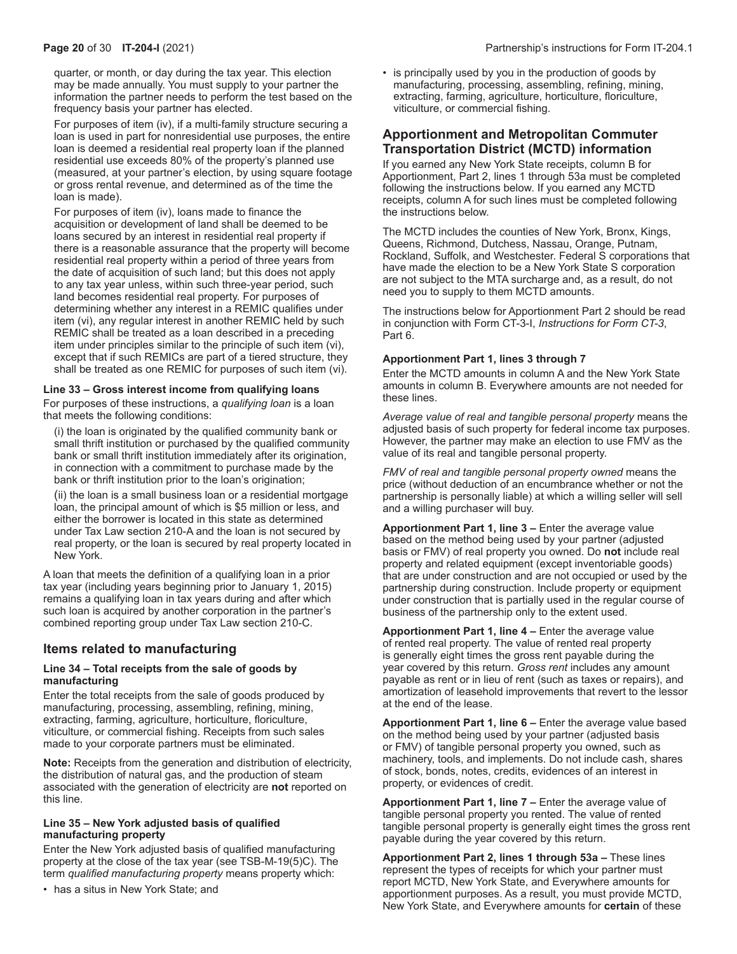quarter, or month, or day during the tax year. This election may be made annually. You must supply to your partner the information the partner needs to perform the test based on the frequency basis your partner has elected.

For purposes of item (iv), if a multi-family structure securing a loan is used in part for nonresidential use purposes, the entire loan is deemed a residential real property loan if the planned residential use exceeds 80% of the property's planned use (measured, at your partner's election, by using square footage or gross rental revenue, and determined as of the time the loan is made).

For purposes of item (iv), loans made to finance the acquisition or development of land shall be deemed to be loans secured by an interest in residential real property if there is a reasonable assurance that the property will become residential real property within a period of three years from the date of acquisition of such land; but this does not apply to any tax year unless, within such three-year period, such land becomes residential real property. For purposes of determining whether any interest in a REMIC qualifies under item (vi), any regular interest in another REMIC held by such REMIC shall be treated as a loan described in a preceding item under principles similar to the principle of such item (vi), except that if such REMICs are part of a tiered structure, they shall be treated as one REMIC for purposes of such item (vi).

#### **Line 33 – Gross interest income from qualifying loans**

For purposes of these instructions, a *qualifying loan* is a loan that meets the following conditions:

(i) the loan is originated by the qualified community bank or small thrift institution or purchased by the qualified community bank or small thrift institution immediately after its origination, in connection with a commitment to purchase made by the bank or thrift institution prior to the loan's origination;

(ii) the loan is a small business loan or a residential mortgage loan, the principal amount of which is \$5 million or less, and either the borrower is located in this state as determined under Tax Law section 210-A and the loan is not secured by real property, or the loan is secured by real property located in New York.

A loan that meets the definition of a qualifying loan in a prior tax year (including years beginning prior to January 1, 2015) remains a qualifying loan in tax years during and after which such loan is acquired by another corporation in the partner's combined reporting group under Tax Law section 210-C.

# **Items related to manufacturing**

#### **Line 34 – Total receipts from the sale of goods by manufacturing**

Enter the total receipts from the sale of goods produced by manufacturing, processing, assembling, refining, mining, extracting, farming, agriculture, horticulture, floriculture, viticulture, or commercial fishing. Receipts from such sales made to your corporate partners must be eliminated.

**Note:** Receipts from the generation and distribution of electricity, the distribution of natural gas, and the production of steam associated with the generation of electricity are **not** reported on this line.

#### **Line 35 – New York adjusted basis of qualified manufacturing property**

Enter the New York adjusted basis of qualified manufacturing property at the close of the tax year (see TSB-M-19(5)C). The term *qualified manufacturing property* means property which:

• has a situs in New York State; and

• is principally used by you in the production of goods by manufacturing, processing, assembling, refining, mining, extracting, farming, agriculture, horticulture, floriculture, viticulture, or commercial fishing.

# **Apportionment and Metropolitan Commuter Transportation District (MCTD) information**

If you earned any New York State receipts, column B for Apportionment, Part 2, lines 1 through 53a must be completed following the instructions below. If you earned any MCTD receipts, column A for such lines must be completed following the instructions below.

The MCTD includes the counties of New York, Bronx, Kings, Queens, Richmond, Dutchess, Nassau, Orange, Putnam, Rockland, Suffolk, and Westchester. Federal S corporations that have made the election to be a New York State S corporation are not subject to the MTA surcharge and, as a result, do not need you to supply to them MCTD amounts.

The instructions below for Apportionment Part 2 should be read in conjunction with Form CT-3-I, *Instructions for Form CT-3*, Part 6.

#### **Apportionment Part 1, lines 3 through 7**

Enter the MCTD amounts in column A and the New York State amounts in column B. Everywhere amounts are not needed for these lines.

*Average value of real and tangible personal property* means the adjusted basis of such property for federal income tax purposes. However, the partner may make an election to use FMV as the value of its real and tangible personal property.

*FMV of real and tangible personal property owned* means the price (without deduction of an encumbrance whether or not the partnership is personally liable) at which a willing seller will sell and a willing purchaser will buy.

**Apportionment Part 1, line 3 –** Enter the average value based on the method being used by your partner (adjusted basis or FMV) of real property you owned. Do **not** include real property and related equipment (except inventoriable goods) that are under construction and are not occupied or used by the partnership during construction. Include property or equipment under construction that is partially used in the regular course of business of the partnership only to the extent used.

**Apportionment Part 1, line 4 –** Enter the average value of rented real property. The value of rented real property is generally eight times the gross rent payable during the year covered by this return. *Gross rent* includes any amount payable as rent or in lieu of rent (such as taxes or repairs), and amortization of leasehold improvements that revert to the lessor at the end of the lease.

**Apportionment Part 1, line 6 –** Enter the average value based on the method being used by your partner (adjusted basis or FMV) of tangible personal property you owned, such as machinery, tools, and implements. Do not include cash, shares of stock, bonds, notes, credits, evidences of an interest in property, or evidences of credit.

**Apportionment Part 1, line 7 –** Enter the average value of tangible personal property you rented. The value of rented tangible personal property is generally eight times the gross rent payable during the year covered by this return.

**Apportionment Part 2, lines 1 through 53a –** These lines represent the types of receipts for which your partner must report MCTD, New York State, and Everywhere amounts for apportionment purposes. As a result, you must provide MCTD, New York State, and Everywhere amounts for **certain** of these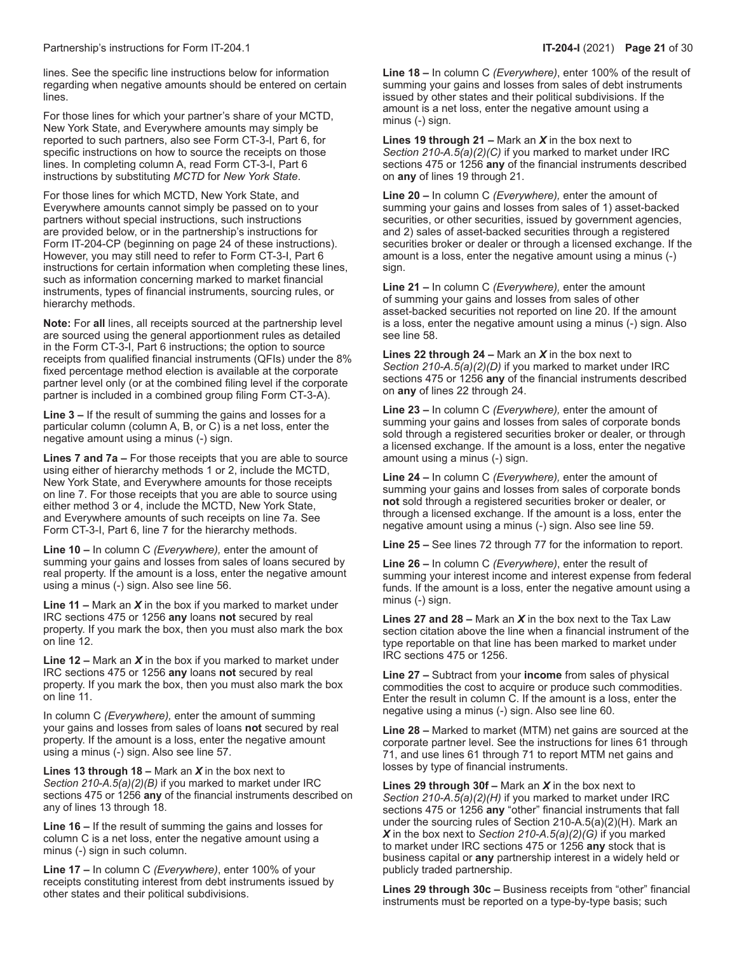lines. See the specific line instructions below for information regarding when negative amounts should be entered on certain lines.

For those lines for which your partner's share of your MCTD, New York State, and Everywhere amounts may simply be reported to such partners, also see Form CT-3-I, Part 6, for specific instructions on how to source the receipts on those lines. In completing column A, read Form CT-3-I, Part 6 instructions by substituting *MCTD* for *New York State*.

For those lines for which MCTD, New York State, and Everywhere amounts cannot simply be passed on to your partners without special instructions, such instructions are provided below, or in the partnership's instructions for Form IT-204-CP (beginning on page 24 of these instructions). However, you may still need to refer to Form CT-3-I, Part 6 instructions for certain information when completing these lines, such as information concerning marked to market financial instruments, types of financial instruments, sourcing rules, or hierarchy methods.

**Note:** For **all** lines, all receipts sourced at the partnership level are sourced using the general apportionment rules as detailed in the Form CT-3-I, Part 6 instructions; the option to source receipts from qualified financial instruments (QFIs) under the 8% fixed percentage method election is available at the corporate partner level only (or at the combined filing level if the corporate partner is included in a combined group filing Form CT-3-A).

**Line 3 –** If the result of summing the gains and losses for a particular column (column A, B, or C) is a net loss, enter the negative amount using a minus (-) sign.

**Lines 7 and 7a –** For those receipts that you are able to source using either of hierarchy methods 1 or 2, include the MCTD, New York State, and Everywhere amounts for those receipts on line 7. For those receipts that you are able to source using either method 3 or 4, include the MCTD, New York State, and Everywhere amounts of such receipts on line 7a. See Form CT-3-I, Part 6, line 7 for the hierarchy methods.

**Line 10 –** In column C *(Everywhere),* enter the amount of summing your gains and losses from sales of loans secured by real property. If the amount is a loss, enter the negative amount using a minus (-) sign. Also see line 56.

**Line 11 –** Mark an *X* in the box if you marked to market under IRC sections 475 or 1256 **any** loans **not** secured by real property. If you mark the box, then you must also mark the box on line 12.

**Line 12 –** Mark an *X* in the box if you marked to market under IRC sections 475 or 1256 **any** loans **not** secured by real property. If you mark the box, then you must also mark the box on line 11.

In column C *(Everywhere),* enter the amount of summing your gains and losses from sales of loans **not** secured by real property. If the amount is a loss, enter the negative amount using a minus (-) sign. Also see line 57.

**Lines 13 through 18 –** Mark an *X* in the box next to *Section 210-A.5(a)(2)(B)* if you marked to market under IRC sections 475 or 1256 **any** of the financial instruments described on any of lines 13 through 18.

**Line 16 –** If the result of summing the gains and losses for column C is a net loss, enter the negative amount using a minus (-) sign in such column.

**Line 17 –** In column C *(Everywhere)*, enter 100% of your receipts constituting interest from debt instruments issued by other states and their political subdivisions.

**Line 18 –** In column C *(Everywhere)*, enter 100% of the result of summing your gains and losses from sales of debt instruments issued by other states and their political subdivisions. If the amount is a net loss, enter the negative amount using a minus (-) sign.

**Lines 19 through 21 –** Mark an *X* in the box next to *Section 210-A.5(a)(2)(C)* if you marked to market under IRC sections 475 or 1256 **any** of the financial instruments described on **any** of lines 19 through 21.

**Line 20 –** In column C *(Everywhere),* enter the amount of summing your gains and losses from sales of 1) asset-backed securities, or other securities, issued by government agencies, and 2) sales of asset-backed securities through a registered securities broker or dealer or through a licensed exchange. If the amount is a loss, enter the negative amount using a minus (-) sign.

**Line 21 –** In column C *(Everywhere),* enter the amount of summing your gains and losses from sales of other asset-backed securities not reported on line 20. If the amount is a loss, enter the negative amount using a minus (-) sign. Also see line 58.

**Lines 22 through 24 –** Mark an *X* in the box next to *Section 210-A.5(a)(2)(D)* if you marked to market under IRC sections 475 or 1256 **any** of the financial instruments described on **any** of lines 22 through 24.

**Line 23 –** In column C *(Everywhere),* enter the amount of summing your gains and losses from sales of corporate bonds sold through a registered securities broker or dealer, or through a licensed exchange. If the amount is a loss, enter the negative amount using a minus (-) sign.

**Line 24 –** In column C *(Everywhere),* enter the amount of summing your gains and losses from sales of corporate bonds **not** sold through a registered securities broker or dealer, or through a licensed exchange. If the amount is a loss, enter the negative amount using a minus (-) sign. Also see line 59.

**Line 25 –** See lines 72 through 77 for the information to report.

**Line 26 –** In column C *(Everywhere)*, enter the result of summing your interest income and interest expense from federal funds. If the amount is a loss, enter the negative amount using a minus (-) sign.

**Lines 27 and 28 –** Mark an *X* in the box next to the Tax Law section citation above the line when a financial instrument of the type reportable on that line has been marked to market under IRC sections 475 or 1256.

**Line 27 –** Subtract from your **income** from sales of physical commodities the cost to acquire or produce such commodities. Enter the result in column C. If the amount is a loss, enter the negative using a minus (-) sign. Also see line 60.

**Line 28 –** Marked to market (MTM) net gains are sourced at the corporate partner level. See the instructions for lines 61 through 71, and use lines 61 through 71 to report MTM net gains and losses by type of financial instruments.

**Lines 29 through 30f –** Mark an *X* in the box next to *Section 210-A.5(a)(2)(H)* if you marked to market under IRC sections 475 or 1256 **any** "other" financial instruments that fall under the sourcing rules of Section 210-A.5(a)(2)(H). Mark an *X* in the box next to *Section 210-A.5(a)(2)(G)* if you marked to market under IRC sections 475 or 1256 **any** stock that is business capital or **any** partnership interest in a widely held or publicly traded partnership.

**Lines 29 through 30c –** Business receipts from "other" financial instruments must be reported on a type-by-type basis; such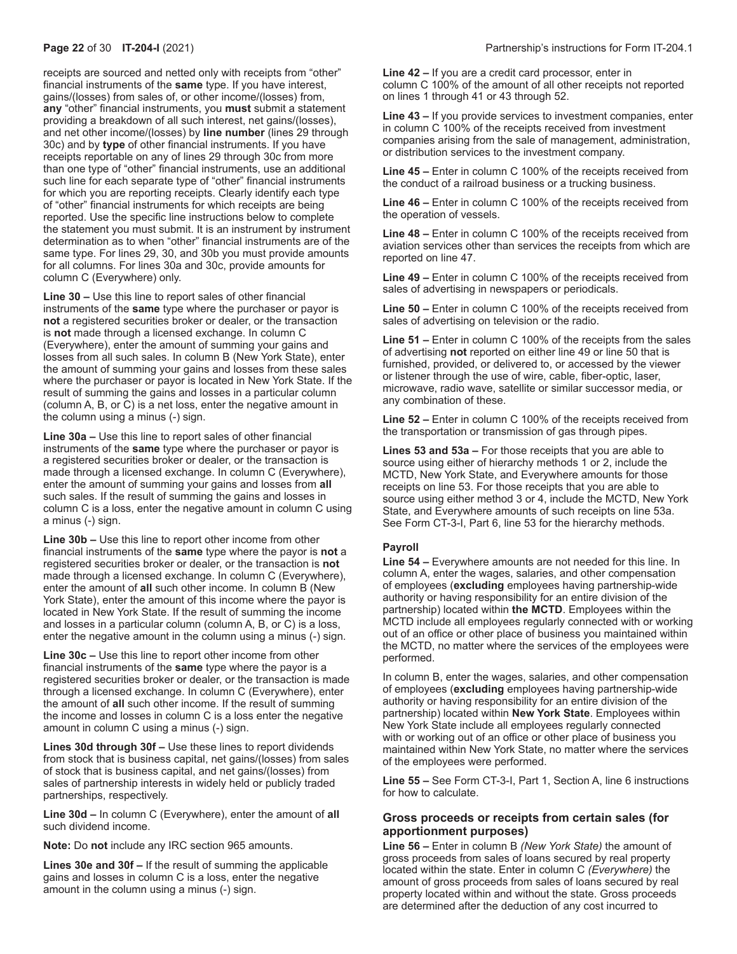receipts are sourced and netted only with receipts from "other" financial instruments of the **same** type. If you have interest, gains/(losses) from sales of, or other income/(losses) from, **any** "other" financial instruments, you **must** submit a statement providing a breakdown of all such interest, net gains/(losses), and net other income/(losses) by **line number** (lines 29 through 30c) and by **type** of other financial instruments. If you have receipts reportable on any of lines 29 through 30c from more than one type of "other" financial instruments, use an additional such line for each separate type of "other" financial instruments for which you are reporting receipts. Clearly identify each type of "other" financial instruments for which receipts are being reported. Use the specific line instructions below to complete the statement you must submit. It is an instrument by instrument determination as to when "other" financial instruments are of the same type. For lines 29, 30, and 30b you must provide amounts for all columns. For lines 30a and 30c, provide amounts for column C (Everywhere) only.

**Line 30 –** Use this line to report sales of other financial instruments of the **same** type where the purchaser or payor is **not** a registered securities broker or dealer, or the transaction is **not** made through a licensed exchange. In column C (Everywhere), enter the amount of summing your gains and losses from all such sales. In column B (New York State), enter the amount of summing your gains and losses from these sales where the purchaser or payor is located in New York State. If the result of summing the gains and losses in a particular column (column A, B, or C) is a net loss, enter the negative amount in the column using a minus (-) sign.

**Line 30a –** Use this line to report sales of other financial instruments of the **same** type where the purchaser or payor is a registered securities broker or dealer, or the transaction is made through a licensed exchange. In column C (Everywhere), enter the amount of summing your gains and losses from **all** such sales. If the result of summing the gains and losses in column C is a loss, enter the negative amount in column C using a minus (-) sign.

**Line 30b –** Use this line to report other income from other financial instruments of the **same** type where the payor is **not** a registered securities broker or dealer, or the transaction is **not** made through a licensed exchange. In column C (Everywhere), enter the amount of **all** such other income. In column B (New York State), enter the amount of this income where the payor is located in New York State. If the result of summing the income and losses in a particular column (column A, B, or C) is a loss, enter the negative amount in the column using a minus (-) sign.

**Line 30c –** Use this line to report other income from other financial instruments of the **same** type where the payor is a registered securities broker or dealer, or the transaction is made through a licensed exchange. In column C (Everywhere), enter the amount of **all** such other income. If the result of summing the income and losses in column C is a loss enter the negative amount in column C using a minus (-) sign.

**Lines 30d through 30f –** Use these lines to report dividends from stock that is business capital, net gains/(losses) from sales of stock that is business capital, and net gains/(losses) from sales of partnership interests in widely held or publicly traded partnerships, respectively.

**Line 30d –** In column C (Everywhere), enter the amount of **all** such dividend income.

**Note:** Do **not** include any IRC section 965 amounts.

**Lines 30e and 30f –** If the result of summing the applicable gains and losses in column C is a loss, enter the negative amount in the column using a minus (-) sign.

**Line 42 –** If you are a credit card processor, enter in column C 100% of the amount of all other receipts not reported on lines 1 through 41 or 43 through 52.

**Line 43 –** If you provide services to investment companies, enter in column C 100% of the receipts received from investment companies arising from the sale of management, administration, or distribution services to the investment company.

**Line 45 –** Enter in column C 100% of the receipts received from the conduct of a railroad business or a trucking business.

**Line 46 –** Enter in column C 100% of the receipts received from the operation of vessels.

**Line 48 –** Enter in column C 100% of the receipts received from aviation services other than services the receipts from which are reported on line 47.

**Line 49 –** Enter in column C 100% of the receipts received from sales of advertising in newspapers or periodicals.

**Line 50 –** Enter in column C 100% of the receipts received from sales of advertising on television or the radio.

**Line 51 –** Enter in column C 100% of the receipts from the sales of advertising **not** reported on either line 49 or line 50 that is furnished, provided, or delivered to, or accessed by the viewer or listener through the use of wire, cable, fiber-optic, laser, microwave, radio wave, satellite or similar successor media, or any combination of these.

**Line 52 –** Enter in column C 100% of the receipts received from the transportation or transmission of gas through pipes.

**Lines 53 and 53a –** For those receipts that you are able to source using either of hierarchy methods 1 or 2, include the MCTD, New York State, and Everywhere amounts for those receipts on line 53. For those receipts that you are able to source using either method 3 or 4, include the MCTD, New York State, and Everywhere amounts of such receipts on line 53a. See Form CT-3-I, Part 6, line 53 for the hierarchy methods.

#### **Payroll**

**Line 54 –** Everywhere amounts are not needed for this line. In column A, enter the wages, salaries, and other compensation of employees (**excluding** employees having partnership-wide authority or having responsibility for an entire division of the partnership) located within **the MCTD**. Employees within the MCTD include all employees regularly connected with or working out of an office or other place of business you maintained within the MCTD, no matter where the services of the employees were performed.

In column B, enter the wages, salaries, and other compensation of employees (**excluding** employees having partnership-wide authority or having responsibility for an entire division of the partnership) located within **New York State**. Employees within New York State include all employees regularly connected with or working out of an office or other place of business you maintained within New York State, no matter where the services of the employees were performed.

**Line 55 –** See Form CT-3-I, Part 1, Section A, line 6 instructions for how to calculate.

#### **Gross proceeds or receipts from certain sales (for apportionment purposes)**

**Line 56 –** Enter in column B *(New York State)* the amount of gross proceeds from sales of loans secured by real property located within the state. Enter in column C *(Everywhere)* the amount of gross proceeds from sales of loans secured by real property located within and without the state. Gross proceeds are determined after the deduction of any cost incurred to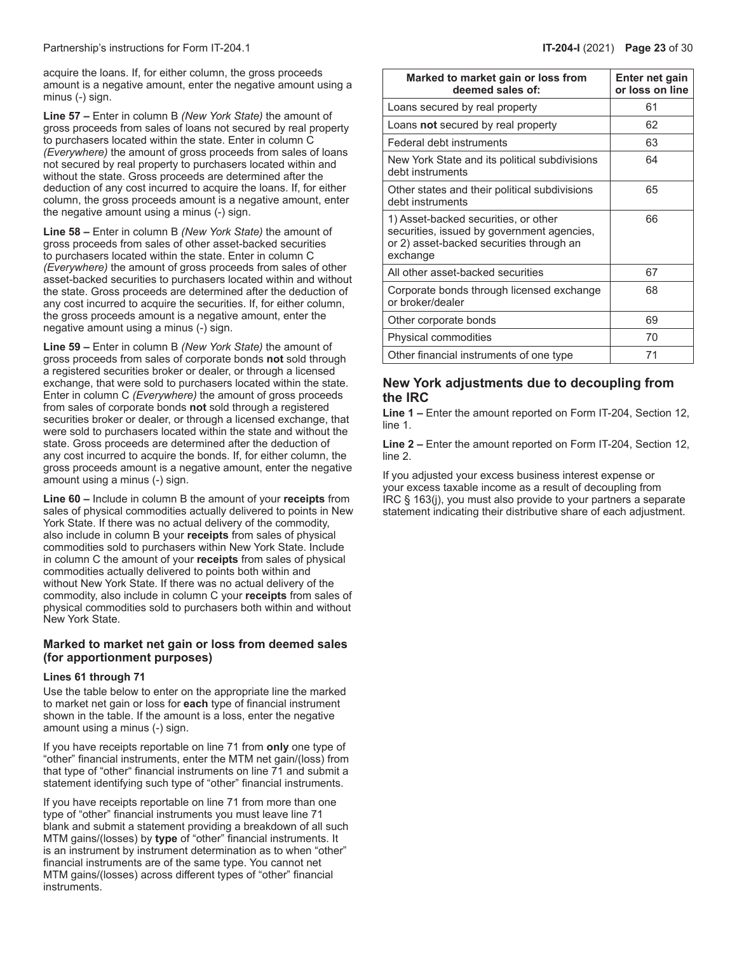acquire the loans. If, for either column, the gross proceeds amount is a negative amount, enter the negative amount using a minus (-) sign.

**Line 57 –** Enter in column B *(New York State)* the amount of gross proceeds from sales of loans not secured by real property to purchasers located within the state. Enter in column C *(Everywhere)* the amount of gross proceeds from sales of loans not secured by real property to purchasers located within and without the state. Gross proceeds are determined after the deduction of any cost incurred to acquire the loans. If, for either column, the gross proceeds amount is a negative amount, enter the negative amount using a minus (-) sign.

**Line 58 –** Enter in column B *(New York State)* the amount of gross proceeds from sales of other asset-backed securities to purchasers located within the state. Enter in column C *(Everywhere)* the amount of gross proceeds from sales of other asset-backed securities to purchasers located within and without the state. Gross proceeds are determined after the deduction of any cost incurred to acquire the securities. If, for either column, the gross proceeds amount is a negative amount, enter the negative amount using a minus (-) sign.

**Line 59 –** Enter in column B *(New York State)* the amount of gross proceeds from sales of corporate bonds **not** sold through a registered securities broker or dealer, or through a licensed exchange, that were sold to purchasers located within the state. Enter in column C *(Everywhere)* the amount of gross proceeds from sales of corporate bonds **not** sold through a registered securities broker or dealer, or through a licensed exchange, that were sold to purchasers located within the state and without the state. Gross proceeds are determined after the deduction of any cost incurred to acquire the bonds. If, for either column, the gross proceeds amount is a negative amount, enter the negative amount using a minus (-) sign.

**Line 60 –** Include in column B the amount of your **receipts** from sales of physical commodities actually delivered to points in New York State. If there was no actual delivery of the commodity, also include in column B your **receipts** from sales of physical commodities sold to purchasers within New York State. Include in column C the amount of your **receipts** from sales of physical commodities actually delivered to points both within and without New York State. If there was no actual delivery of the commodity, also include in column C your **receipts** from sales of physical commodities sold to purchasers both within and without New York State.

## **Marked to market net gain or loss from deemed sales (for apportionment purposes)**

#### **Lines 61 through 71**

Use the table below to enter on the appropriate line the marked to market net gain or loss for **each** type of financial instrument shown in the table. If the amount is a loss, enter the negative amount using a minus (-) sign.

If you have receipts reportable on line 71 from **only** one type of "other" financial instruments, enter the MTM net gain/(loss) from that type of "other" financial instruments on line 71 and submit a statement identifying such type of "other" financial instruments.

If you have receipts reportable on line 71 from more than one type of "other" financial instruments you must leave line 71 blank and submit a statement providing a breakdown of all such MTM gains/(losses) by **type** of "other" financial instruments. It is an instrument by instrument determination as to when "other" financial instruments are of the same type. You cannot net MTM gains/(losses) across different types of "other" financial instruments.

| Marked to market gain or loss from<br>deemed sales of:                                                                                     | Enter net gain<br>or loss on line |
|--------------------------------------------------------------------------------------------------------------------------------------------|-----------------------------------|
| Loans secured by real property                                                                                                             | 61                                |
| Loans not secured by real property                                                                                                         | 62                                |
| Federal debt instruments                                                                                                                   | 63                                |
| New York State and its political subdivisions<br>debt instruments                                                                          | 64                                |
| Other states and their political subdivisions<br>debt instruments                                                                          | 65                                |
| 1) Asset-backed securities, or other<br>securities, issued by government agencies,<br>or 2) asset-backed securities through an<br>exchange | 66                                |
| All other asset-backed securities                                                                                                          | 67                                |
| Corporate bonds through licensed exchange<br>or broker/dealer                                                                              | 68                                |
| Other corporate bonds                                                                                                                      | 69                                |
| Physical commodities                                                                                                                       | 70                                |
| Other financial instruments of one type                                                                                                    | 71                                |

# **New York adjustments due to decoupling from the IRC**

**Line 1 –** Enter the amount reported on Form IT-204, Section 12, line 1.

**Line 2 –** Enter the amount reported on Form IT-204, Section 12, line 2.

If you adjusted your excess business interest expense or your excess taxable income as a result of decoupling from IRC § 163(j), you must also provide to your partners a separate statement indicating their distributive share of each adjustment.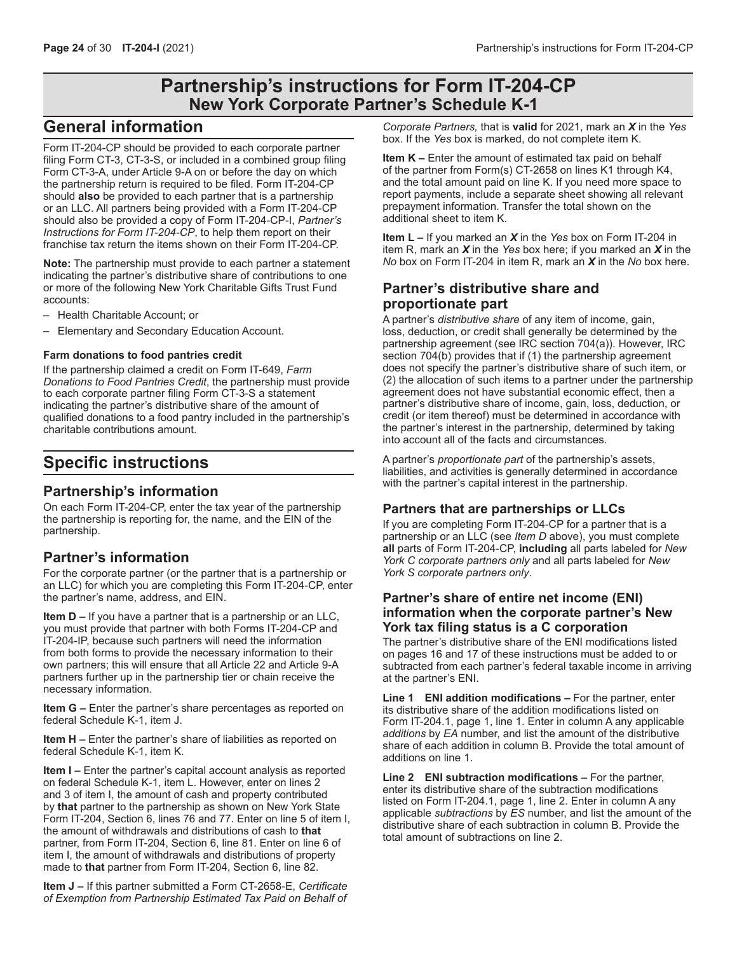# **Partnership's instructions for Form IT-204-CP New York Corporate Partner's Schedule K-1**

# **General information**

Form IT-204-CP should be provided to each corporate partner filing Form CT-3, CT-3-S, or included in a combined group filing Form CT-3-A, under Article 9-A on or before the day on which the partnership return is required to be filed. Form IT-204-CP should **also** be provided to each partner that is a partnership or an LLC. All partners being provided with a Form IT-204-CP should also be provided a copy of Form IT-204-CP-I, *Partner's Instructions for Form IT-204-CP*, to help them report on their franchise tax return the items shown on their Form IT-204-CP.

**Note:** The partnership must provide to each partner a statement indicating the partner's distributive share of contributions to one or more of the following New York Charitable Gifts Trust Fund accounts:

- Health Charitable Account; or
- Elementary and Secondary Education Account.

## **Farm donations to food pantries credit**

If the partnership claimed a credit on Form IT-649, *Farm Donations to Food Pantries Credit*, the partnership must provide to each corporate partner filing Form CT-3-S a statement indicating the partner's distributive share of the amount of qualified donations to a food pantry included in the partnership's charitable contributions amount.

# **Specific instructions**

# **Partnership's information**

On each Form IT-204-CP, enter the tax year of the partnership the partnership is reporting for, the name, and the EIN of the partnership.

# **Partner's information**

For the corporate partner (or the partner that is a partnership or an LLC) for which you are completing this Form IT-204-CP, enter the partner's name, address, and EIN.

**Item D –** If you have a partner that is a partnership or an LLC, you must provide that partner with both Forms IT-204-CP and IT-204-IP, because such partners will need the information from both forms to provide the necessary information to their own partners; this will ensure that all Article 22 and Article 9-A partners further up in the partnership tier or chain receive the necessary information.

**Item G –** Enter the partner's share percentages as reported on federal Schedule K-1, item J.

**Item H –** Enter the partner's share of liabilities as reported on federal Schedule K-1, item K.

**Item I –** Enter the partner's capital account analysis as reported on federal Schedule K-1, item L. However, enter on lines 2 and 3 of item I, the amount of cash and property contributed by **that** partner to the partnership as shown on New York State Form IT-204, Section 6, lines 76 and 77. Enter on line 5 of item I, the amount of withdrawals and distributions of cash to **that** partner, from Form IT-204, Section 6, line 81. Enter on line 6 of item I, the amount of withdrawals and distributions of property made to **that** partner from Form IT-204, Section 6, line 82.

**Item J –** If this partner submitted a Form CT-2658-E, *Certificate of Exemption from Partnership Estimated Tax Paid on Behalf of*  *Corporate Partners,* that is **valid** for 2021, mark an *X* in the *Yes* box. If the *Yes* box is marked, do not complete item K.

**Item K –** Enter the amount of estimated tax paid on behalf of the partner from Form(s) CT-2658 on lines K1 through K4, and the total amount paid on line K. If you need more space to report payments, include a separate sheet showing all relevant prepayment information. Transfer the total shown on the additional sheet to item K.

**Item L –** If you marked an *X* in the *Yes* box on Form IT-204 in item R, mark an *X* in the *Yes* box here; if you marked an *X* in the *No* box on Form IT-204 in item R, mark an *X* in the *No* box here.

# **Partner's distributive share and proportionate part**

A partner's *distributive share* of any item of income, gain, loss, deduction, or credit shall generally be determined by the partnership agreement (see IRC section 704(a)). However, IRC section 704(b) provides that if (1) the partnership agreement does not specify the partner's distributive share of such item, or (2) the allocation of such items to a partner under the partnership agreement does not have substantial economic effect, then a partner's distributive share of income, gain, loss, deduction, or credit (or item thereof) must be determined in accordance with the partner's interest in the partnership, determined by taking into account all of the facts and circumstances.

A partner's *proportionate part* of the partnership's assets, liabilities, and activities is generally determined in accordance with the partner's capital interest in the partnership.

# **Partners that are partnerships or LLCs**

If you are completing Form IT-204-CP for a partner that is a partnership or an LLC (see *Item D* above), you must complete **all** parts of Form IT-204-CP, **including** all parts labeled for *New York C corporate partners only* and all parts labeled for *New York S corporate partners only*.

# **Partner's share of entire net income (ENI) information when the corporate partner's New York tax filing status is a C corporation**

The partner's distributive share of the ENI modifications listed on pages 16 and 17 of these instructions must be added to or subtracted from each partner's federal taxable income in arriving at the partner's ENI.

**Line 1 ENI addition modifications –** For the partner, enter its distributive share of the addition modifications listed on Form IT-204.1, page 1, line 1. Enter in column A any applicable *additions* by *EA* number, and list the amount of the distributive share of each addition in column B. Provide the total amount of additions on line 1.

**Line 2 ENI subtraction modifications –** For the partner, enter its distributive share of the subtraction modifications listed on Form IT-204.1, page 1, line 2. Enter in column A any applicable *subtractions* by *ES* number, and list the amount of the distributive share of each subtraction in column B. Provide the total amount of subtractions on line 2.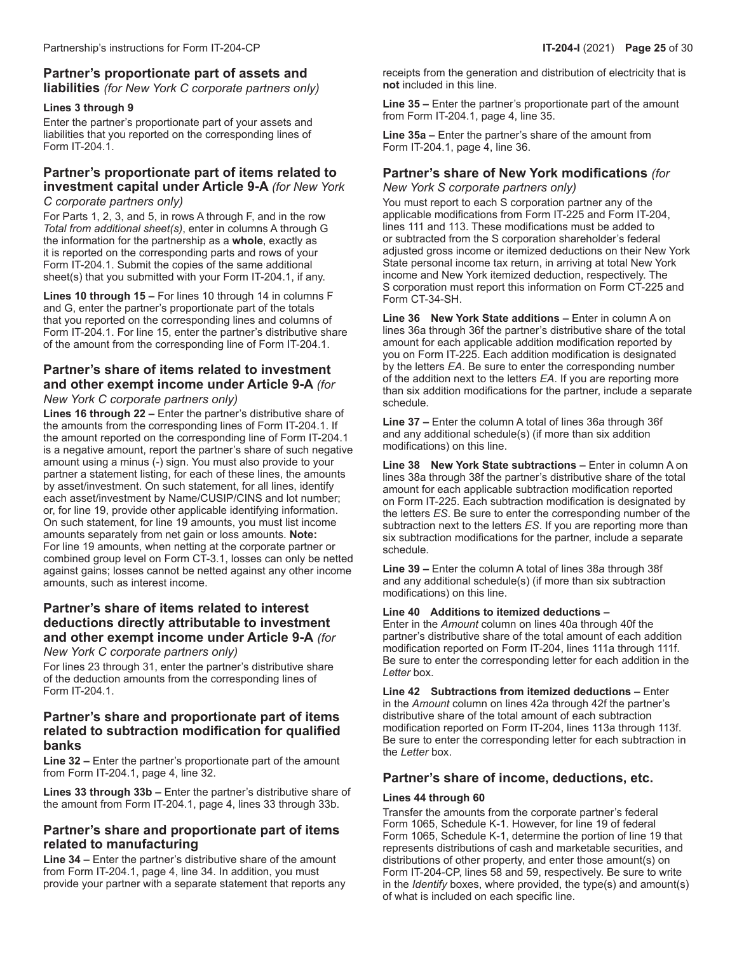**Partner's proportionate part of assets and liabilities** *(for New York C corporate partners only)*

#### **Lines 3 through 9**

Enter the partner's proportionate part of your assets and liabilities that you reported on the corresponding lines of Form IT-204.1.

# **Partner's proportionate part of items related to investment capital under Article 9-A** *(for New York*

#### *C corporate partners only)*

For Parts 1, 2, 3, and 5, in rows A through F, and in the row *Total from additional sheet(s)*, enter in columns A through G the information for the partnership as a **whole**, exactly as it is reported on the corresponding parts and rows of your Form IT-204.1. Submit the copies of the same additional sheet(s) that you submitted with your Form IT-204.1, if any.

**Lines 10 through 15 –** For lines 10 through 14 in columns F and G, enter the partner's proportionate part of the totals that you reported on the corresponding lines and columns of Form IT-204.1. For line 15, enter the partner's distributive share of the amount from the corresponding line of Form IT-204.1.

# **Partner's share of items related to investment and other exempt income under Article 9-A** *(for New York C corporate partners only)*

**Lines 16 through 22 –** Enter the partner's distributive share of the amounts from the corresponding lines of Form IT-204.1. If the amount reported on the corresponding line of Form IT-204.1 is a negative amount, report the partner's share of such negative amount using a minus (-) sign. You must also provide to your partner a statement listing, for each of these lines, the amounts by asset/investment. On such statement, for all lines, identify each asset/investment by Name/CUSIP/CINS and lot number; or, for line 19, provide other applicable identifying information. On such statement, for line 19 amounts, you must list income amounts separately from net gain or loss amounts. **Note:** For line 19 amounts, when netting at the corporate partner or combined group level on Form CT-3.1, losses can only be netted against gains; losses cannot be netted against any other income amounts, such as interest income.

## **Partner's share of items related to interest deductions directly attributable to investment and other exempt income under Article 9-A** *(for New York C corporate partners only)*

For lines 23 through 31, enter the partner's distributive share of the deduction amounts from the corresponding lines of Form IT-204.1.

# **Partner's share and proportionate part of items related to subtraction modification for qualified banks**

**Line 32 –** Enter the partner's proportionate part of the amount from Form IT-204.1, page 4, line 32.

**Lines 33 through 33b –** Enter the partner's distributive share of the amount from Form IT-204.1, page 4, lines 33 through 33b.

# **Partner's share and proportionate part of items related to manufacturing**

**Line 34 –** Enter the partner's distributive share of the amount from Form IT-204.1, page 4, line 34. In addition, you must provide your partner with a separate statement that reports any receipts from the generation and distribution of electricity that is **not** included in this line.

**Line 35 –** Enter the partner's proportionate part of the amount from Form IT-204.1, page 4, line 35.

**Line 35a –** Enter the partner's share of the amount from Form IT-204.1, page 4, line 36.

# **Partner's share of New York modifications** *(for*

*New York S corporate partners only)*

You must report to each S corporation partner any of the applicable modifications from Form IT-225 and Form IT-204, lines 111 and 113. These modifications must be added to or subtracted from the S corporation shareholder's federal adjusted gross income or itemized deductions on their New York State personal income tax return, in arriving at total New York income and New York itemized deduction, respectively. The S corporation must report this information on Form CT-225 and Form CT-34-SH.

**Line 36 New York State additions –** Enter in column A on lines 36a through 36f the partner's distributive share of the total amount for each applicable addition modification reported by you on Form IT-225. Each addition modification is designated by the letters *EA*. Be sure to enter the corresponding number of the addition next to the letters *EA*. If you are reporting more than six addition modifications for the partner, include a separate schedule.

**Line 37 –** Enter the column A total of lines 36a through 36f and any additional schedule(s) (if more than six addition modifications) on this line.

**Line 38 New York State subtractions –** Enter in column A on lines 38a through 38f the partner's distributive share of the total amount for each applicable subtraction modification reported on Form IT-225. Each subtraction modification is designated by the letters *ES*. Be sure to enter the corresponding number of the subtraction next to the letters *ES*. If you are reporting more than six subtraction modifications for the partner, include a separate schedule.

**Line 39 –** Enter the column A total of lines 38a through 38f and any additional schedule(s) (if more than six subtraction modifications) on this line.

## **Line 40 Additions to itemized deductions –**

Enter in the *Amount* column on lines 40a through 40f the partner's distributive share of the total amount of each addition modification reported on Form IT-204, lines 111a through 111f. Be sure to enter the corresponding letter for each addition in the *Letter* box.

**Line 42 Subtractions from itemized deductions –** Enter in the *Amount* column on lines 42a through 42f the partner's distributive share of the total amount of each subtraction modification reported on Form IT-204, lines 113a through 113f. Be sure to enter the corresponding letter for each subtraction in the *Letter* box.

# **Partner's share of income, deductions, etc.**

## **Lines 44 through 60**

Transfer the amounts from the corporate partner's federal Form 1065, Schedule K-1. However, for line 19 of federal Form 1065, Schedule K-1, determine the portion of line 19 that represents distributions of cash and marketable securities, and distributions of other property, and enter those amount(s) on Form IT-204-CP, lines 58 and 59, respectively. Be sure to write in the *Identify* boxes, where provided, the type(s) and amount(s) of what is included on each specific line.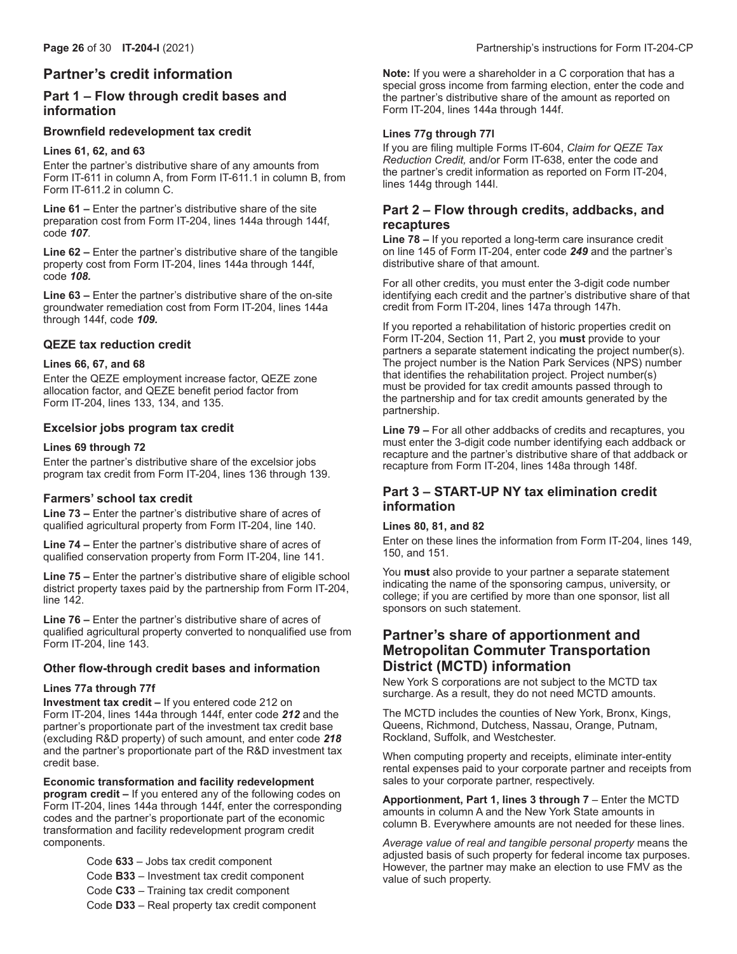# **Partner's credit information**

# **Part 1 – Flow through credit bases and information**

#### **Brownfield redevelopment tax credit**

#### **Lines 61, 62, and 63**

Enter the partner's distributive share of any amounts from Form IT-611 in column A, from Form IT-611.1 in column B, from Form IT-611.2 in column C.

**Line 61 –** Enter the partner's distributive share of the site preparation cost from Form IT-204, lines 144a through 144f, code *107.*

**Line 62 –** Enter the partner's distributive share of the tangible property cost from Form IT-204, lines 144a through 144f, code *108.*

**Line 63 –** Enter the partner's distributive share of the on-site groundwater remediation cost from Form IT-204, lines 144a through 144f, code *109.*

#### **QEZE tax reduction credit**

#### **Lines 66, 67, and 68**

Enter the QEZE employment increase factor, QEZE zone allocation factor, and QEZE benefit period factor from Form IT-204, lines 133, 134, and 135.

#### **Excelsior jobs program tax credit**

#### **Lines 69 through 72**

Enter the partner's distributive share of the excelsior jobs program tax credit from Form IT-204, lines 136 through 139.

#### **Farmers' school tax credit**

**Line 73 –** Enter the partner's distributive share of acres of qualified agricultural property from Form IT-204, line 140.

**Line 74 –** Enter the partner's distributive share of acres of qualified conservation property from Form IT-204, line 141.

**Line 75 –** Enter the partner's distributive share of eligible school district property taxes paid by the partnership from Form IT-204, line 142.

**Line 76 –** Enter the partner's distributive share of acres of qualified agricultural property converted to nonqualified use from Form IT-204, line 143.

#### **Other flow-through credit bases and information**

#### **Lines 77a through 77f**

**Investment tax credit –** If you entered code 212 on Form IT-204, lines 144a through 144f, enter code *212* and the partner's proportionate part of the investment tax credit base (excluding R&D property) of such amount, and enter code *218* and the partner's proportionate part of the R&D investment tax credit base.

**Economic transformation and facility redevelopment program credit –** If you entered any of the following codes on Form IT-204, lines 144a through 144f, enter the corresponding codes and the partner's proportionate part of the economic transformation and facility redevelopment program credit components.

- Code **633** Jobs tax credit component
- Code **B33** Investment tax credit component
- Code **C33** Training tax credit component
- Code **D33** Real property tax credit component

**Note:** If you were a shareholder in a C corporation that has a special gross income from farming election, enter the code and the partner's distributive share of the amount as reported on Form IT-204, lines 144a through 144f.

#### **Lines 77g through 77l**

If you are filing multiple Forms IT-604, *Claim for QEZE Tax Reduction Credit,* and/or Form IT-638, enter the code and the partner's credit information as reported on Form IT-204, lines 144g through 144l.

# **Part 2 – Flow through credits, addbacks, and recaptures**

**Line 78 –** If you reported a long-term care insurance credit on line 145 of Form IT-204, enter code *249* and the partner's distributive share of that amount.

For all other credits, you must enter the 3-digit code number identifying each credit and the partner's distributive share of that credit from Form IT-204, lines 147a through 147h.

If you reported a rehabilitation of historic properties credit on Form IT-204, Section 11, Part 2, you **must** provide to your partners a separate statement indicating the project number(s). The project number is the Nation Park Services (NPS) number that identifies the rehabilitation project. Project number(s) must be provided for tax credit amounts passed through to the partnership and for tax credit amounts generated by the partnership.

**Line 79 –** For all other addbacks of credits and recaptures, you must enter the 3-digit code number identifying each addback or recapture and the partner's distributive share of that addback or recapture from Form IT-204, lines 148a through 148f.

## **Part 3 – START-UP NY tax elimination credit information**

#### **Lines 80, 81, and 82**

Enter on these lines the information from Form IT-204, lines 149, 150, and 151.

You **must** also provide to your partner a separate statement indicating the name of the sponsoring campus, university, or college; if you are certified by more than one sponsor, list all sponsors on such statement.

# **Partner's share of apportionment and Metropolitan Commuter Transportation District (MCTD) information**

New York S corporations are not subject to the MCTD tax surcharge. As a result, they do not need MCTD amounts.

The MCTD includes the counties of New York, Bronx, Kings, Queens, Richmond, Dutchess, Nassau, Orange, Putnam, Rockland, Suffolk, and Westchester.

When computing property and receipts, eliminate inter-entity rental expenses paid to your corporate partner and receipts from sales to your corporate partner, respectively.

**Apportionment, Part 1, lines 3 through 7** – Enter the MCTD amounts in column A and the New York State amounts in column B. Everywhere amounts are not needed for these lines.

*Average value of real and tangible personal property* means the adjusted basis of such property for federal income tax purposes. However, the partner may make an election to use FMV as the value of such property.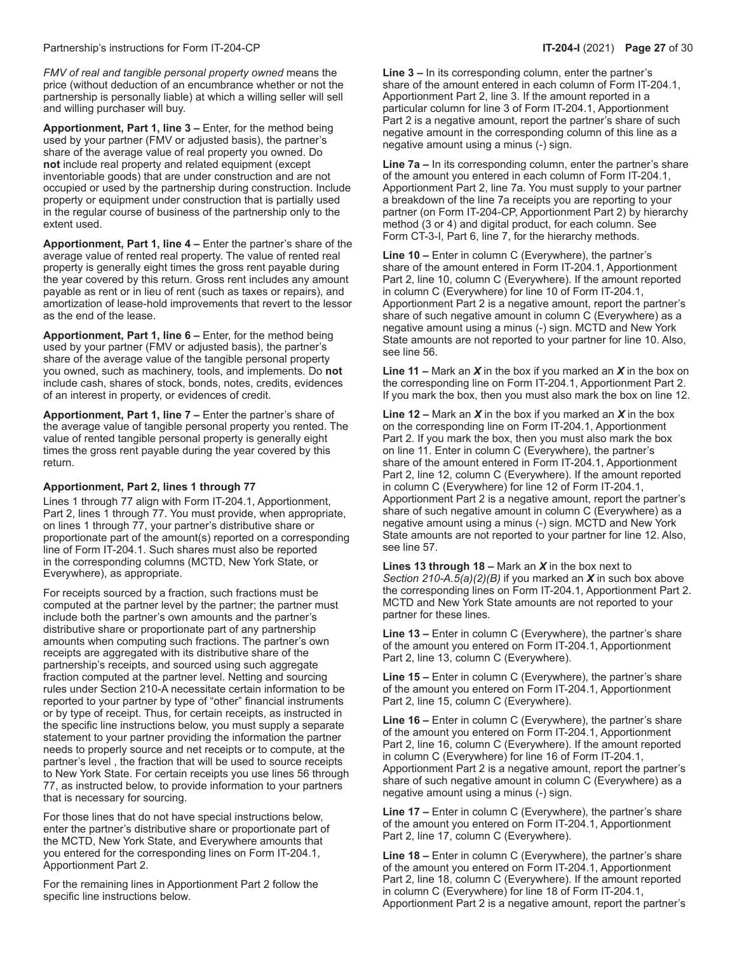*FMV of real and tangible personal property owned* means the price (without deduction of an encumbrance whether or not the partnership is personally liable) at which a willing seller will sell and willing purchaser will buy.

**Apportionment, Part 1, line 3 –** Enter, for the method being used by your partner (FMV or adjusted basis), the partner's share of the average value of real property you owned. Do **not** include real property and related equipment (except inventoriable goods) that are under construction and are not occupied or used by the partnership during construction. Include property or equipment under construction that is partially used in the regular course of business of the partnership only to the extent used.

**Apportionment, Part 1, line 4 –** Enter the partner's share of the average value of rented real property. The value of rented real property is generally eight times the gross rent payable during the year covered by this return. Gross rent includes any amount payable as rent or in lieu of rent (such as taxes or repairs), and amortization of lease-hold improvements that revert to the lessor as the end of the lease.

**Apportionment, Part 1, line 6 –** Enter, for the method being used by your partner (FMV or adjusted basis), the partner's share of the average value of the tangible personal property you owned, such as machinery, tools, and implements. Do **not** include cash, shares of stock, bonds, notes, credits, evidences of an interest in property, or evidences of credit.

**Apportionment, Part 1, line 7 –** Enter the partner's share of the average value of tangible personal property you rented. The value of rented tangible personal property is generally eight times the gross rent payable during the year covered by this return.

#### **Apportionment, Part 2, lines 1 through 77**

Lines 1 through 77 align with Form IT-204.1, Apportionment, Part 2, lines 1 through 77. You must provide, when appropriate, on lines 1 through 77, your partner's distributive share or proportionate part of the amount(s) reported on a corresponding line of Form IT-204.1. Such shares must also be reported in the corresponding columns (MCTD, New York State, or Everywhere), as appropriate.

For receipts sourced by a fraction, such fractions must be computed at the partner level by the partner; the partner must include both the partner's own amounts and the partner's distributive share or proportionate part of any partnership amounts when computing such fractions. The partner's own receipts are aggregated with its distributive share of the partnership's receipts, and sourced using such aggregate fraction computed at the partner level. Netting and sourcing rules under Section 210-A necessitate certain information to be reported to your partner by type of "other" financial instruments or by type of receipt. Thus, for certain receipts, as instructed in the specific line instructions below, you must supply a separate statement to your partner providing the information the partner needs to properly source and net receipts or to compute, at the partner's level , the fraction that will be used to source receipts to New York State. For certain receipts you use lines 56 through 77, as instructed below, to provide information to your partners that is necessary for sourcing.

For those lines that do not have special instructions below, enter the partner's distributive share or proportionate part of the MCTD, New York State, and Everywhere amounts that you entered for the corresponding lines on Form IT-204.1, Apportionment Part 2.

For the remaining lines in Apportionment Part 2 follow the specific line instructions below.

**Line 3 –** In its corresponding column, enter the partner's share of the amount entered in each column of Form IT-204.1, Apportionment Part 2, line 3. If the amount reported in a particular column for line 3 of Form IT-204.1, Apportionment Part 2 is a negative amount, report the partner's share of such negative amount in the corresponding column of this line as a negative amount using a minus (-) sign.

**Line 7a –** In its corresponding column, enter the partner's share of the amount you entered in each column of Form IT-204.1, Apportionment Part 2, line 7a. You must supply to your partner a breakdown of the line 7a receipts you are reporting to your partner (on Form IT-204-CP, Apportionment Part 2) by hierarchy method (3 or 4) and digital product, for each column. See Form CT-3-I, Part 6, line 7, for the hierarchy methods.

**Line 10 –** Enter in column C (Everywhere), the partner's share of the amount entered in Form IT-204.1, Apportionment Part 2, line 10, column C (Everywhere). If the amount reported in column C (Everywhere) for line 10 of Form IT-204.1, Apportionment Part 2 is a negative amount, report the partner's share of such negative amount in column C (Everywhere) as a negative amount using a minus (-) sign. MCTD and New York State amounts are not reported to your partner for line 10. Also, see line 56.

**Line 11 –** Mark an *X* in the box if you marked an *X* in the box on the corresponding line on Form IT-204.1, Apportionment Part 2. If you mark the box, then you must also mark the box on line 12.

**Line 12 –** Mark an *X* in the box if you marked an *X* in the box on the corresponding line on Form IT-204.1, Apportionment Part 2. If you mark the box, then you must also mark the box on line 11. Enter in column C (Everywhere), the partner's share of the amount entered in Form IT-204.1, Apportionment Part 2, line 12, column C (Everywhere). If the amount reported in column C (Everywhere) for line 12 of Form IT-204.1, Apportionment Part 2 is a negative amount, report the partner's share of such negative amount in column C (Everywhere) as a negative amount using a minus (-) sign. MCTD and New York State amounts are not reported to your partner for line 12. Also, see line 57.

**Lines 13 through 18 –** Mark an *X* in the box next to *Section 210-A.5(a)(2)(B)* if you marked an *X* in such box above the corresponding lines on Form IT-204.1, Apportionment Part 2. MCTD and New York State amounts are not reported to your partner for these lines.

**Line 13 –** Enter in column C (Everywhere), the partner's share of the amount you entered on Form IT-204.1, Apportionment Part 2, line 13, column C (Everywhere).

**Line 15 –** Enter in column C (Everywhere), the partner's share of the amount you entered on Form IT-204.1, Apportionment Part 2, line 15, column C (Everywhere).

**Line 16 –** Enter in column C (Everywhere), the partner's share of the amount you entered on Form IT-204.1, Apportionment Part 2, line 16, column C (Everywhere). If the amount reported in column C (Everywhere) for line 16 of Form IT-204.1, Apportionment Part 2 is a negative amount, report the partner's share of such negative amount in column C (Everywhere) as a negative amount using a minus (-) sign.

**Line 17 –** Enter in column C (Everywhere), the partner's share of the amount you entered on Form IT-204.1, Apportionment Part 2, line 17, column C (Everywhere).

**Line 18 –** Enter in column C (Everywhere), the partner's share of the amount you entered on Form IT-204.1, Apportionment Part 2, line 18, column C (Everywhere). If the amount reported in column C (Everywhere) for line 18 of Form IT-204.1, Apportionment Part 2 is a negative amount, report the partner's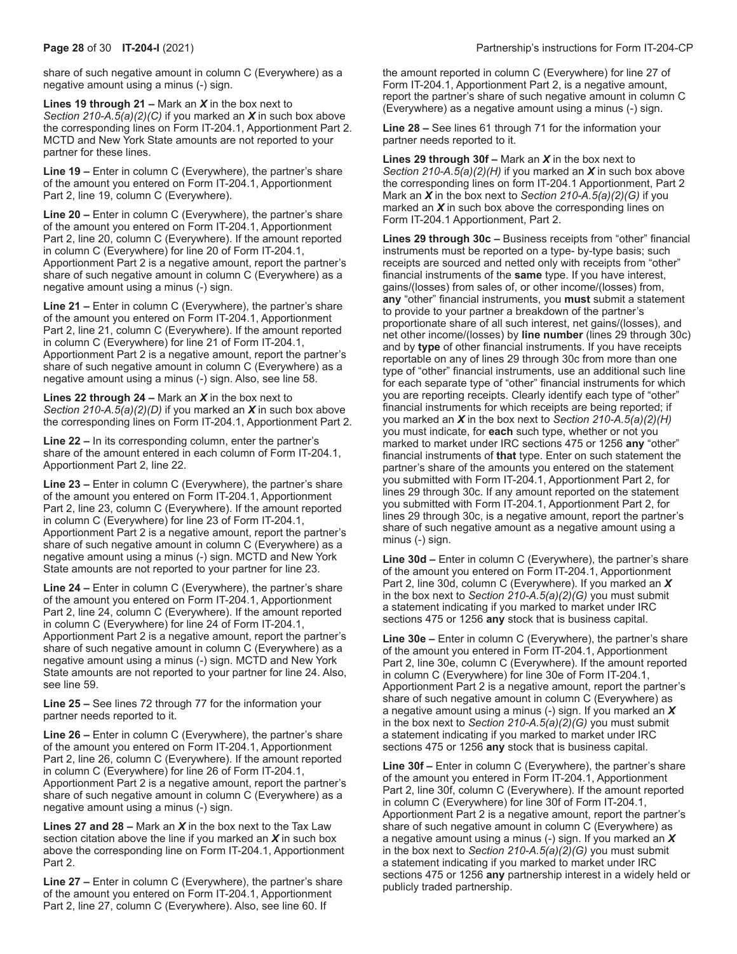share of such negative amount in column C (Everywhere) as a negative amount using a minus (-) sign.

**Lines 19 through 21 –** Mark an *X* in the box next to *Section 210-A.5(a)(2)(C)* if you marked an *X* in such box above the corresponding lines on Form IT-204.1, Apportionment Part 2. MCTD and New York State amounts are not reported to your partner for these lines.

**Line 19 –** Enter in column C (Everywhere), the partner's share of the amount you entered on Form IT-204.1, Apportionment Part 2, line 19, column C (Everywhere).

**Line 20 –** Enter in column C (Everywhere), the partner's share of the amount you entered on Form IT-204.1, Apportionment Part 2, line 20, column C (Everywhere). If the amount reported in column C (Everywhere) for line 20 of Form IT-204.1, Apportionment Part 2 is a negative amount, report the partner's share of such negative amount in column C (Everywhere) as a negative amount using a minus (-) sign.

**Line 21 –** Enter in column C (Everywhere), the partner's share of the amount you entered on Form IT-204.1, Apportionment Part 2, line 21, column C (Everywhere). If the amount reported in column C (Everywhere) for line 21 of Form IT-204.1, Apportionment Part 2 is a negative amount, report the partner's share of such negative amount in column C (Everywhere) as a negative amount using a minus (-) sign. Also, see line 58.

**Lines 22 through 24 –** Mark an *X* in the box next to *Section 210-A.5(a)(2)(D)* if you marked an *X* in such box above the corresponding lines on Form IT-204.1, Apportionment Part 2.

**Line 22 –** In its corresponding column, enter the partner's share of the amount entered in each column of Form IT-204.1, Apportionment Part 2, line 22.

**Line 23 –** Enter in column C (Everywhere), the partner's share of the amount you entered on Form IT-204.1, Apportionment Part 2, line 23, column C (Everywhere). If the amount reported in column C (Everywhere) for line 23 of Form IT-204.1, Apportionment Part 2 is a negative amount, report the partner's share of such negative amount in column C (Everywhere) as a negative amount using a minus (-) sign. MCTD and New York State amounts are not reported to your partner for line 23.

**Line 24 –** Enter in column C (Everywhere), the partner's share of the amount you entered on Form IT-204.1, Apportionment Part 2, line 24, column C (Everywhere). If the amount reported in column C (Everywhere) for line 24 of Form IT-204.1, Apportionment Part 2 is a negative amount, report the partner's share of such negative amount in column C (Everywhere) as a negative amount using a minus (-) sign. MCTD and New York State amounts are not reported to your partner for line 24. Also, see line 59.

**Line 25 –** See lines 72 through 77 for the information your partner needs reported to it.

**Line 26 –** Enter in column C (Everywhere), the partner's share of the amount you entered on Form IT-204.1, Apportionment Part 2, line 26, column C (Everywhere). If the amount reported in column C (Everywhere) for line 26 of Form IT-204.1, Apportionment Part 2 is a negative amount, report the partner's share of such negative amount in column C (Everywhere) as a negative amount using a minus (-) sign.

**Lines 27 and 28 –** Mark an *X* in the box next to the Tax Law section citation above the line if you marked an *X* in such box above the corresponding line on Form IT-204.1, Apportionment Part 2.

**Line 27 –** Enter in column C (Everywhere), the partner's share of the amount you entered on Form IT-204.1, Apportionment Part 2, line 27, column C (Everywhere). Also, see line 60. If

the amount reported in column C (Everywhere) for line 27 of Form IT-204.1, Apportionment Part 2, is a negative amount, report the partner's share of such negative amount in column C (Everywhere) as a negative amount using a minus (-) sign.

**Line 28 –** See lines 61 through 71 for the information your partner needs reported to it.

**Lines 29 through 30f –** Mark an *X* in the box next to *Section 210-A.5(a)(2)(H)* if you marked an *X* in such box above the corresponding lines on form IT-204.1 Apportionment, Part 2 Mark an *X* in the box next to *Section 210-A.5(a)(2)(G)* if you marked an *X* in such box above the corresponding lines on Form IT-204.1 Apportionment, Part 2.

**Lines 29 through 30c –** Business receipts from "other" financial instruments must be reported on a type- by-type basis; such receipts are sourced and netted only with receipts from "other" financial instruments of the **same** type. If you have interest, gains/(losses) from sales of, or other income/(losses) from, **any** "other" financial instruments, you **must** submit a statement to provide to your partner a breakdown of the partner's proportionate share of all such interest, net gains/(losses), and net other income/(losses) by **line number** (lines 29 through 30c) and by **type** of other financial instruments. If you have receipts reportable on any of lines 29 through 30c from more than one type of "other" financial instruments, use an additional such line for each separate type of "other" financial instruments for which you are reporting receipts. Clearly identify each type of "other" financial instruments for which receipts are being reported; if you marked an *X* in the box next to *Section 210-A.5(a)(2)(H)* you must indicate, for **each** such type, whether or not you marked to market under IRC sections 475 or 1256 **any** "other" financial instruments of **that** type. Enter on such statement the partner's share of the amounts you entered on the statement you submitted with Form IT-204.1, Apportionment Part 2, for lines 29 through 30c. If any amount reported on the statement you submitted with Form IT-204.1, Apportionment Part 2, for lines 29 through 30c, is a negative amount, report the partner's share of such negative amount as a negative amount using a minus (-) sign.

**Line 30d –** Enter in column C (Everywhere), the partner's share of the amount you entered on Form IT-204.1, Apportionment Part 2, line 30d, column C (Everywhere). If you marked an *X* in the box next to *Section 210-A.5(a)(2)(G)* you must submit a statement indicating if you marked to market under IRC sections 475 or 1256 **any** stock that is business capital.

**Line 30e –** Enter in column C (Everywhere), the partner's share of the amount you entered in Form IT-204.1, Apportionment Part 2, line 30e, column C (Everywhere). If the amount reported in column C (Everywhere) for line 30e of Form IT-204.1, Apportionment Part 2 is a negative amount, report the partner's share of such negative amount in column C (Everywhere) as a negative amount using a minus (-) sign. If you marked an *X* in the box next to *Section 210-A.5(a)(2)(G)* you must submit a statement indicating if you marked to market under IRC sections 475 or 1256 **any** stock that is business capital.

**Line 30f –** Enter in column C (Everywhere), the partner's share of the amount you entered in Form IT-204.1, Apportionment Part 2, line 30f, column C (Everywhere). If the amount reported in column C (Everywhere) for line 30f of Form IT-204.1, Apportionment Part 2 is a negative amount, report the partner's share of such negative amount in column C (Everywhere) as a negative amount using a minus (-) sign. If you marked an *X* in the box next to *Section 210-A.5(a)(2)(G)* you must submit a statement indicating if you marked to market under IRC sections 475 or 1256 **any** partnership interest in a widely held or publicly traded partnership.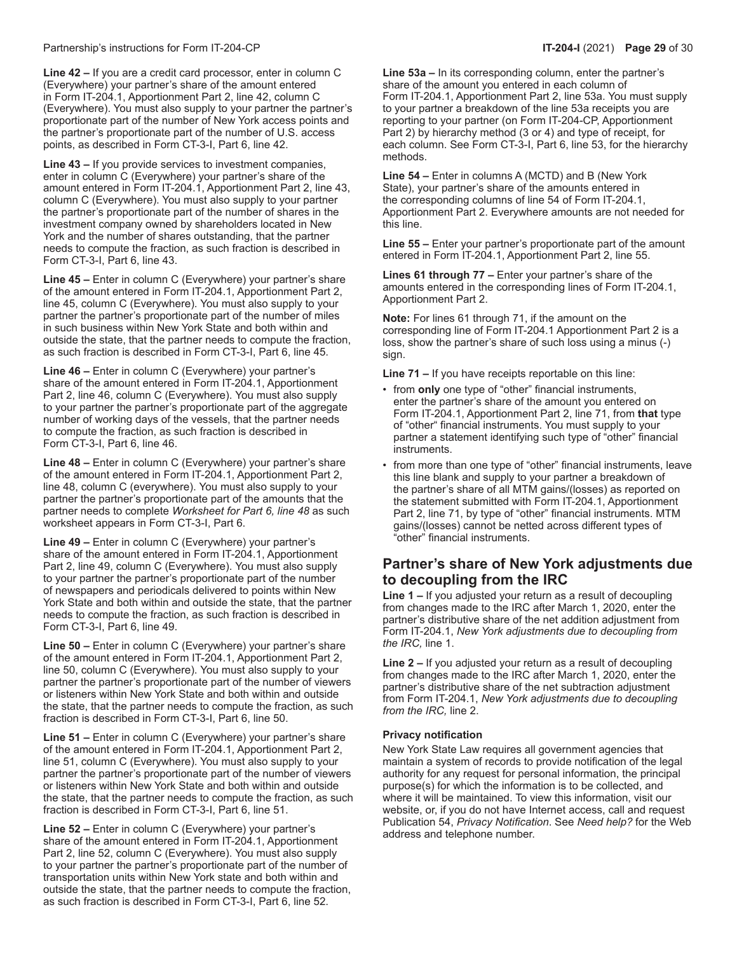**Line 42 –** If you are a credit card processor, enter in column C (Everywhere) your partner's share of the amount entered in Form IT-204.1, Apportionment Part 2, line 42, column C (Everywhere). You must also supply to your partner the partner's proportionate part of the number of New York access points and the partner's proportionate part of the number of U.S. access points, as described in Form CT-3-I, Part 6, line 42.

**Line 43 –** If you provide services to investment companies, enter in column C (Everywhere) your partner's share of the amount entered in Form IT-204.1, Apportionment Part 2, line 43, column C (Everywhere). You must also supply to your partner the partner's proportionate part of the number of shares in the investment company owned by shareholders located in New York and the number of shares outstanding, that the partner needs to compute the fraction, as such fraction is described in Form CT-3-I, Part 6, line 43.

**Line 45 –** Enter in column C (Everywhere) your partner's share of the amount entered in Form IT-204.1, Apportionment Part 2, line 45, column C (Everywhere). You must also supply to your partner the partner's proportionate part of the number of miles in such business within New York State and both within and outside the state, that the partner needs to compute the fraction, as such fraction is described in Form CT-3-I, Part 6, line 45.

**Line 46 –** Enter in column C (Everywhere) your partner's share of the amount entered in Form IT-204.1, Apportionment Part 2, line 46, column C (Everywhere). You must also supply to your partner the partner's proportionate part of the aggregate number of working days of the vessels, that the partner needs to compute the fraction, as such fraction is described in Form CT-3-I, Part 6, line 46.

**Line 48 –** Enter in column C (Everywhere) your partner's share of the amount entered in Form IT-204.1, Apportionment Part 2, line 48, column C (everywhere). You must also supply to your partner the partner's proportionate part of the amounts that the partner needs to complete *Worksheet for Part 6, line 48* as such worksheet appears in Form CT-3-I, Part 6.

**Line 49 –** Enter in column C (Everywhere) your partner's share of the amount entered in Form IT-204.1, Apportionment Part 2, line 49, column C (Everywhere). You must also supply to your partner the partner's proportionate part of the number of newspapers and periodicals delivered to points within New York State and both within and outside the state, that the partner needs to compute the fraction, as such fraction is described in Form CT-3-I, Part 6, line 49.

**Line 50 –** Enter in column C (Everywhere) your partner's share of the amount entered in Form IT-204.1, Apportionment Part 2, line 50, column C (Everywhere). You must also supply to your partner the partner's proportionate part of the number of viewers or listeners within New York State and both within and outside the state, that the partner needs to compute the fraction, as such fraction is described in Form CT-3-I, Part 6, line 50.

**Line 51 –** Enter in column C (Everywhere) your partner's share of the amount entered in Form IT-204.1, Apportionment Part 2, line 51, column C (Everywhere). You must also supply to your partner the partner's proportionate part of the number of viewers or listeners within New York State and both within and outside the state, that the partner needs to compute the fraction, as such fraction is described in Form CT-3-I, Part 6, line 51.

**Line 52 –** Enter in column C (Everywhere) your partner's share of the amount entered in Form IT-204.1, Apportionment Part 2, line 52, column C (Everywhere). You must also supply to your partner the partner's proportionate part of the number of transportation units within New York state and both within and outside the state, that the partner needs to compute the fraction, as such fraction is described in Form CT-3-I, Part 6, line 52.

**Line 53a –** In its corresponding column, enter the partner's share of the amount you entered in each column of Form IT-204.1, Apportionment Part 2, line 53a. You must supply to your partner a breakdown of the line 53a receipts you are reporting to your partner (on Form IT-204-CP, Apportionment Part 2) by hierarchy method (3 or 4) and type of receipt, for each column. See Form CT-3-I, Part 6, line 53, for the hierarchy methods.

**Line 54 –** Enter in columns A (MCTD) and B (New York State), your partner's share of the amounts entered in the corresponding columns of line 54 of Form IT-204.1, Apportionment Part 2. Everywhere amounts are not needed for this line.

**Line 55 –** Enter your partner's proportionate part of the amount entered in Form IT-204.1, Apportionment Part 2, line 55.

**Lines 61 through 77 –** Enter your partner's share of the amounts entered in the corresponding lines of Form IT-204.1, Apportionment Part 2.

**Note:** For lines 61 through 71, if the amount on the corresponding line of Form IT-204.1 Apportionment Part 2 is a loss, show the partner's share of such loss using a minus (-) sign.

**Line 71 –** If you have receipts reportable on this line:

- from **only** one type of "other" financial instruments, enter the partner's share of the amount you entered on Form IT-204.1, Apportionment Part 2, line 71, from **that** type of "other" financial instruments. You must supply to your partner a statement identifying such type of "other" financial instruments.
- from more than one type of "other" financial instruments, leave this line blank and supply to your partner a breakdown of the partner's share of all MTM gains/(losses) as reported on the statement submitted with Form IT-204.1, Apportionment Part 2, line 71, by type of "other" financial instruments. MTM gains/(losses) cannot be netted across different types of "other" financial instruments.

# **Partner's share of New York adjustments due to decoupling from the IRC**

**Line 1 –** If you adjusted your return as a result of decoupling from changes made to the IRC after March 1, 2020, enter the partner's distributive share of the net addition adjustment from Form IT-204.1, *New York adjustments due to decoupling from the IRC,* line 1.

**Line 2 –** If you adjusted your return as a result of decoupling from changes made to the IRC after March 1, 2020, enter the partner's distributive share of the net subtraction adjustment from Form IT-204.1, *New York adjustments due to decoupling from the IRC,* line 2.

# **Privacy notification**

New York State Law requires all government agencies that maintain a system of records to provide notification of the legal authority for any request for personal information, the principal purpose(s) for which the information is to be collected, and where it will be maintained. To view this information, visit our website, or, if you do not have Internet access, call and request Publication 54, *Privacy Notification*. See *Need help?* for the Web address and telephone number.